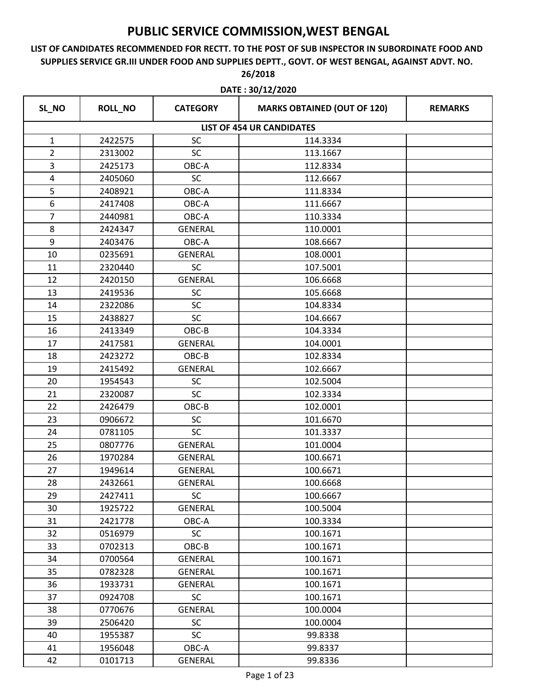### **LIST OF CANDIDATES RECOMMENDED FOR RECTT. TO THE POST OF SUB INSPECTOR IN SUBORDINATE FOOD AND SUPPLIES SERVICE GR.III UNDER FOOD AND SUPPLIES DEPTT., GOVT. OF WEST BENGAL, AGAINST ADVT. NO. 26/2018**

| SL_NO          | ROLL_NO | <b>CATEGORY</b> | <b>MARKS OBTAINED (OUT OF 120)</b> | <b>REMARKS</b> |
|----------------|---------|-----------------|------------------------------------|----------------|
|                |         |                 | <b>LIST OF 454 UR CANDIDATES</b>   |                |
| $\mathbf{1}$   | 2422575 | <b>SC</b>       | 114.3334                           |                |
| $\overline{2}$ | 2313002 | <b>SC</b>       | 113.1667                           |                |
| 3              | 2425173 | OBC-A           | 112.8334                           |                |
| 4              | 2405060 | SC              | 112.6667                           |                |
| 5              | 2408921 | OBC-A           | 111.8334                           |                |
| 6              | 2417408 | OBC-A           | 111.6667                           |                |
| $\overline{7}$ | 2440981 | OBC-A           | 110.3334                           |                |
| 8              | 2424347 | <b>GENERAL</b>  | 110.0001                           |                |
| 9              | 2403476 | OBC-A           | 108.6667                           |                |
| 10             | 0235691 | <b>GENERAL</b>  | 108.0001                           |                |
| 11             | 2320440 | <b>SC</b>       | 107.5001                           |                |
| 12             | 2420150 | <b>GENERAL</b>  | 106.6668                           |                |
| 13             | 2419536 | SC              | 105.6668                           |                |
| 14             | 2322086 | <b>SC</b>       | 104.8334                           |                |
| 15             | 2438827 | <b>SC</b>       | 104.6667                           |                |
| 16             | 2413349 | OBC-B           | 104.3334                           |                |
| 17             | 2417581 | <b>GENERAL</b>  | 104.0001                           |                |
| 18             | 2423272 | OBC-B           | 102.8334                           |                |
| 19             | 2415492 | <b>GENERAL</b>  | 102.6667                           |                |
| 20             | 1954543 | <b>SC</b>       | 102.5004                           |                |
| 21             | 2320087 | SC              | 102.3334                           |                |
| 22             | 2426479 | OBC-B           | 102.0001                           |                |
| 23             | 0906672 | SC              | 101.6670                           |                |
| 24             | 0781105 | <b>SC</b>       | 101.3337                           |                |
| 25             | 0807776 | <b>GENERAL</b>  | 101.0004                           |                |
| 26             | 1970284 | <b>GENERAL</b>  | 100.6671                           |                |
| 27             | 1949614 | <b>GENERAL</b>  | 100.6671                           |                |
| 28             | 2432661 | <b>GENERAL</b>  | 100.6668                           |                |
| 29             | 2427411 | <b>SC</b>       | 100.6667                           |                |
| 30             | 1925722 | GENERAL         | 100.5004                           |                |
| 31             | 2421778 | OBC-A           | 100.3334                           |                |
| 32             | 0516979 | <b>SC</b>       | 100.1671                           |                |
| 33             | 0702313 | OBC-B           | 100.1671                           |                |
| 34             | 0700564 | GENERAL         | 100.1671                           |                |
| 35             | 0782328 | GENERAL         | 100.1671                           |                |
| 36             | 1933731 | GENERAL         | 100.1671                           |                |
| 37             | 0924708 | <b>SC</b>       | 100.1671                           |                |
| 38             | 0770676 | GENERAL         | 100.0004                           |                |
| 39             | 2506420 | <b>SC</b>       | 100.0004                           |                |
| 40             | 1955387 | <b>SC</b>       | 99.8338                            |                |
| 41             | 1956048 | OBC-A           | 99.8337                            |                |
| 42             | 0101713 | GENERAL         | 99.8336                            |                |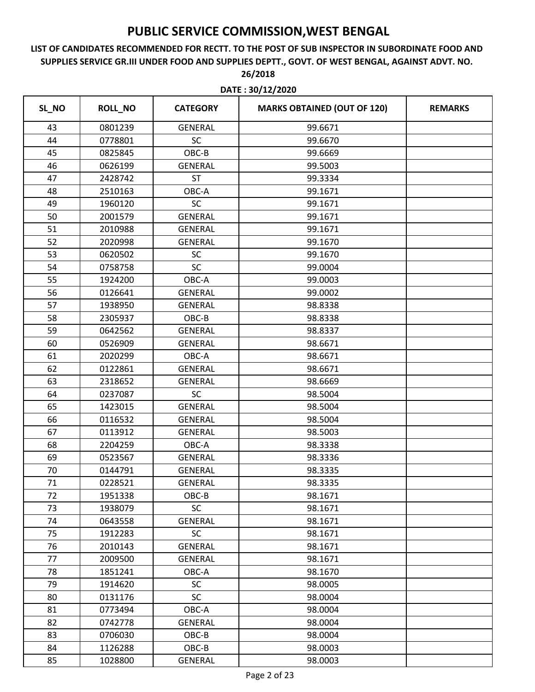### **LIST OF CANDIDATES RECOMMENDED FOR RECTT. TO THE POST OF SUB INSPECTOR IN SUBORDINATE FOOD AND SUPPLIES SERVICE GR.III UNDER FOOD AND SUPPLIES DEPTT., GOVT. OF WEST BENGAL, AGAINST ADVT. NO. 26/2018**

**DATE : 30/12/2020**

| SL_NO | <b>ROLL_NO</b> | <b>CATEGORY</b> | <b>MARKS OBTAINED (OUT OF 120)</b> | <b>REMARKS</b> |
|-------|----------------|-----------------|------------------------------------|----------------|
| 43    | 0801239        | <b>GENERAL</b>  | 99.6671                            |                |
| 44    | 0778801        | SC              | 99.6670                            |                |
| 45    | 0825845        | OBC-B           | 99.6669                            |                |
| 46    | 0626199        | <b>GENERAL</b>  | 99.5003                            |                |
| 47    | 2428742        | <b>ST</b>       | 99.3334                            |                |
| 48    | 2510163        | OBC-A           | 99.1671                            |                |
| 49    | 1960120        | SC              | 99.1671                            |                |
| 50    | 2001579        | <b>GENERAL</b>  | 99.1671                            |                |
| 51    | 2010988        | <b>GENERAL</b>  | 99.1671                            |                |
| 52    | 2020998        | <b>GENERAL</b>  | 99.1670                            |                |
| 53    | 0620502        | SC              | 99.1670                            |                |
| 54    | 0758758        | SC              | 99.0004                            |                |
| 55    | 1924200        | OBC-A           | 99.0003                            |                |
| 56    | 0126641        | <b>GENERAL</b>  | 99.0002                            |                |
| 57    | 1938950        | <b>GENERAL</b>  | 98.8338                            |                |
| 58    | 2305937        | OBC-B           | 98.8338                            |                |
| 59    | 0642562        | <b>GENERAL</b>  | 98.8337                            |                |
| 60    | 0526909        | <b>GENERAL</b>  | 98.6671                            |                |
| 61    | 2020299        | OBC-A           | 98.6671                            |                |
| 62    | 0122861        | <b>GENERAL</b>  | 98.6671                            |                |
| 63    | 2318652        | <b>GENERAL</b>  | 98.6669                            |                |
| 64    | 0237087        | <b>SC</b>       | 98.5004                            |                |
| 65    | 1423015        | <b>GENERAL</b>  | 98.5004                            |                |
| 66    | 0116532        | <b>GENERAL</b>  | 98.5004                            |                |
| 67    | 0113912        | <b>GENERAL</b>  | 98.5003                            |                |
| 68    | 2204259        | OBC-A           | 98.3338                            |                |
| 69    | 0523567        | <b>GENERAL</b>  | 98.3336                            |                |
| 70    | 0144791        | <b>GENERAL</b>  | 98.3335                            |                |
| 71    | 0228521        | <b>GENERAL</b>  | 98.3335                            |                |
| 72    | 1951338        | OBC-B           | 98.1671                            |                |
| 73    | 1938079        | <b>SC</b>       | 98.1671                            |                |
| 74    | 0643558        | <b>GENERAL</b>  | 98.1671                            |                |
| 75    | 1912283        | <b>SC</b>       | 98.1671                            |                |
| 76    | 2010143        | <b>GENERAL</b>  | 98.1671                            |                |
| 77    | 2009500        | <b>GENERAL</b>  | 98.1671                            |                |
| 78    | 1851241        | OBC-A           | 98.1670                            |                |
| 79    | 1914620        | <b>SC</b>       | 98.0005                            |                |
| 80    | 0131176        | SC              | 98.0004                            |                |
| 81    | 0773494        | OBC-A           | 98.0004                            |                |
| 82    | 0742778        | <b>GENERAL</b>  | 98.0004                            |                |
| 83    | 0706030        | OBC-B           | 98.0004                            |                |
| 84    | 1126288        | $OBC-B$         | 98.0003                            |                |
| 85    | 1028800        | GENERAL         | 98.0003                            |                |

Page 2 of 23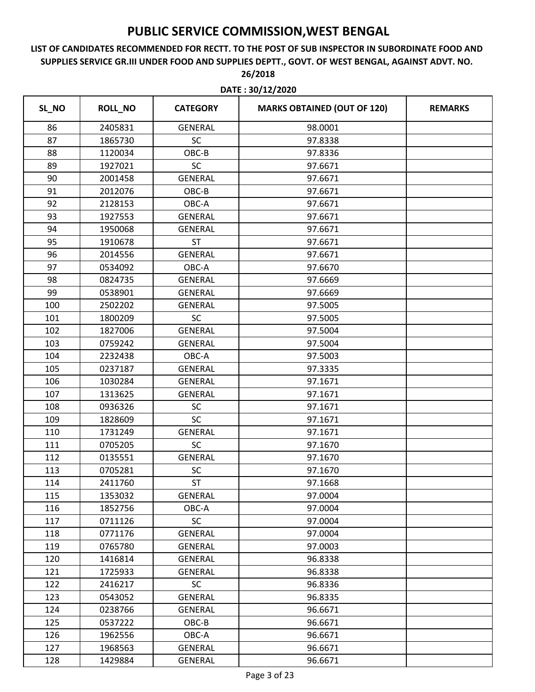|       | DATE: 30/12/2020 |                 |                                    |                |  |
|-------|------------------|-----------------|------------------------------------|----------------|--|
| SL_NO | ROLL_NO          | <b>CATEGORY</b> | <b>MARKS OBTAINED (OUT OF 120)</b> | <b>REMARKS</b> |  |
| 86    | 2405831          | <b>GENERAL</b>  | 98.0001                            |                |  |
| 87    | 1865730          | SC              | 97.8338                            |                |  |
| 88    | 1120034          | OBC-B           | 97.8336                            |                |  |
| 89    | 1927021          | <b>SC</b>       | 97.6671                            |                |  |
| 90    | 2001458          | <b>GENERAL</b>  | 97.6671                            |                |  |
| 91    | 2012076          | OBC-B           | 97.6671                            |                |  |
| 92    | 2128153          | OBC-A           | 97.6671                            |                |  |
| 93    | 1927553          | <b>GENERAL</b>  | 97.6671                            |                |  |
| 94    | 1950068          | <b>GENERAL</b>  | 97.6671                            |                |  |
| 95    | 1910678          | <b>ST</b>       | 97.6671                            |                |  |
| 96    | 2014556          | <b>GENERAL</b>  | 97.6671                            |                |  |
| 97    | 0534092          | OBC-A           | 97.6670                            |                |  |
| 98    | 0824735          | <b>GENERAL</b>  | 97.6669                            |                |  |
| 99    | 0538901          | <b>GENERAL</b>  | 97.6669                            |                |  |
| 100   | 2502202          | <b>GENERAL</b>  | 97.5005                            |                |  |
| 101   | 1800209          | SC              | 97.5005                            |                |  |
| 102   | 1827006          | <b>GENERAL</b>  | 97.5004                            |                |  |
| 103   | 0759242          | <b>GENERAL</b>  | 97.5004                            |                |  |
| 104   | 2232438          | OBC-A           | 97.5003                            |                |  |
| 105   | 0237187          | <b>GENERAL</b>  | 97.3335                            |                |  |
| 106   | 1030284          | <b>GENERAL</b>  | 97.1671                            |                |  |
| 107   | 1313625          | <b>GENERAL</b>  | 97.1671                            |                |  |
| 108   | 0936326          | SC              | 97.1671                            |                |  |
| 109   | 1828609          | SC              | 97.1671                            |                |  |
| 110   | 1731249          | <b>GENERAL</b>  | 97.1671                            |                |  |
| 111   | 0705205          | SC              | 97.1670                            |                |  |
| 112   | 0135551          | <b>GENERAL</b>  | 97.1670                            |                |  |
| 113   | 0705281          | SC              | 97.1670                            |                |  |
| 114   | 2411760          | <b>ST</b>       | 97.1668                            |                |  |
| 115   | 1353032          | <b>GENERAL</b>  | 97.0004                            |                |  |
| 116   | 1852756          | OBC-A           | 97.0004                            |                |  |
| 117   | 0711126          | <b>SC</b>       | 97.0004                            |                |  |
| 118   | 0771176          | <b>GENERAL</b>  | 97.0004                            |                |  |
| 119   | 0765780          | GENERAL         | 97.0003                            |                |  |
| 120   | 1416814          | GENERAL         | 96.8338                            |                |  |
| 121   | 1725933          | GENERAL         | 96.8338                            |                |  |
| 122   | 2416217          | <b>SC</b>       | 96.8336                            |                |  |
| 123   | 0543052          | GENERAL         | 96.8335                            |                |  |
| 124   | 0238766          | GENERAL         | 96.6671                            |                |  |
| 125   | 0537222          | OBC-B           | 96.6671                            |                |  |
| 126   | 1962556          | OBC-A           | 96.6671                            |                |  |
| 127   | 1968563          | <b>GENERAL</b>  | 96.6671                            |                |  |
| 128   | 1429884          | GENERAL         | 96.6671                            |                |  |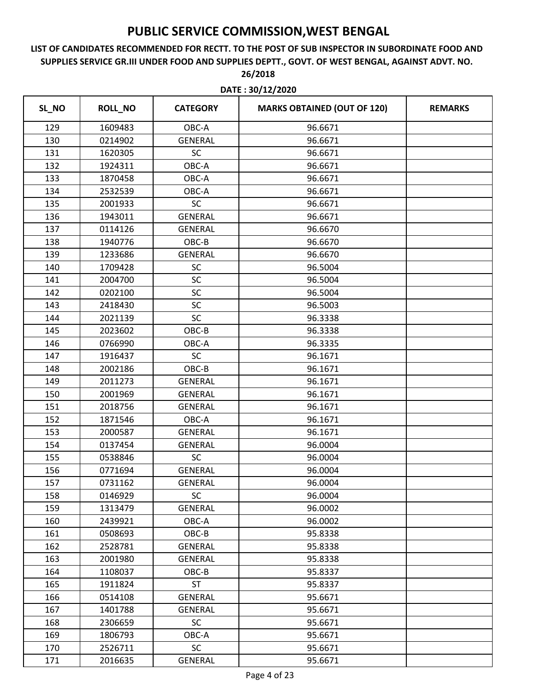|       |                |                 | DATE: 30/12/2020                   |                |
|-------|----------------|-----------------|------------------------------------|----------------|
| SL_NO | <b>ROLL_NO</b> | <b>CATEGORY</b> | <b>MARKS OBTAINED (OUT OF 120)</b> | <b>REMARKS</b> |
| 129   | 1609483        | OBC-A           | 96.6671                            |                |
| 130   | 0214902        | <b>GENERAL</b>  | 96.6671                            |                |
| 131   | 1620305        | <b>SC</b>       | 96.6671                            |                |
| 132   | 1924311        | OBC-A           | 96.6671                            |                |
| 133   | 1870458        | OBC-A           | 96.6671                            |                |
| 134   | 2532539        | OBC-A           | 96.6671                            |                |
| 135   | 2001933        | SC              | 96.6671                            |                |
| 136   | 1943011        | <b>GENERAL</b>  | 96.6671                            |                |
| 137   | 0114126        | <b>GENERAL</b>  | 96.6670                            |                |
| 138   | 1940776        | OBC-B           | 96.6670                            |                |
| 139   | 1233686        | <b>GENERAL</b>  | 96.6670                            |                |
| 140   | 1709428        | SC              | 96.5004                            |                |
| 141   | 2004700        | SC              | 96.5004                            |                |
| 142   | 0202100        | SC              | 96.5004                            |                |
| 143   | 2418430        | SC              | 96.5003                            |                |
| 144   | 2021139        | SC              | 96.3338                            |                |
| 145   | 2023602        | OBC-B           | 96.3338                            |                |
| 146   | 0766990        | OBC-A           | 96.3335                            |                |
| 147   | 1916437        | SC              | 96.1671                            |                |
| 148   | 2002186        | OBC-B           | 96.1671                            |                |
| 149   | 2011273        | <b>GENERAL</b>  | 96.1671                            |                |
| 150   | 2001969        | <b>GENERAL</b>  | 96.1671                            |                |
| 151   | 2018756        | <b>GENERAL</b>  | 96.1671                            |                |
| 152   | 1871546        | OBC-A           | 96.1671                            |                |
| 153   | 2000587        | <b>GENERAL</b>  | 96.1671                            |                |
| 154   | 0137454        | <b>GENERAL</b>  | 96.0004                            |                |
| 155   | 0538846        | <b>SC</b>       | 96.0004                            |                |
| 156   | 0771694        | <b>GENERAL</b>  | 96.0004                            |                |
| 157   | 0731162        | <b>GENERAL</b>  | 96.0004                            |                |
| 158   | 0146929        | <b>SC</b>       | 96.0004                            |                |
| 159   | 1313479        | <b>GENERAL</b>  | 96.0002                            |                |
| 160   | 2439921        | OBC-A           | 96.0002                            |                |
| 161   | 0508693        | OBC-B           | 95.8338                            |                |
| 162   | 2528781        | GENERAL         | 95.8338                            |                |
| 163   | 2001980        | <b>GENERAL</b>  | 95.8338                            |                |
| 164   | 1108037        | OBC-B           | 95.8337                            |                |
| 165   | 1911824        | <b>ST</b>       | 95.8337                            |                |
| 166   | 0514108        | GENERAL         | 95.6671                            |                |
| 167   | 1401788        | <b>GENERAL</b>  | 95.6671                            |                |
| 168   | 2306659        | <b>SC</b>       | 95.6671                            |                |
| 169   | 1806793        | OBC-A           | 95.6671                            |                |
| 170   | 2526711        | <b>SC</b>       | 95.6671                            |                |
| 171   | 2016635        | GENERAL         | 95.6671                            |                |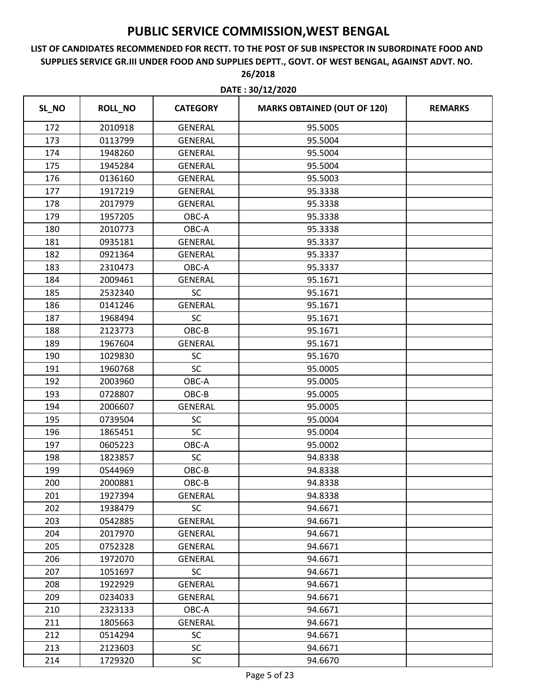### **LIST OF CANDIDATES RECOMMENDED FOR RECTT. TO THE POST OF SUB INSPECTOR IN SUBORDINATE FOOD AND SUPPLIES SERVICE GR.III UNDER FOOD AND SUPPLIES DEPTT., GOVT. OF WEST BENGAL, AGAINST ADVT. NO. 26/2018**

| SL_NO | <b>ROLL_NO</b> | <b>CATEGORY</b> | <b>MARKS OBTAINED (OUT OF 120)</b> | <b>REMARKS</b> |
|-------|----------------|-----------------|------------------------------------|----------------|
| 172   | 2010918        | <b>GENERAL</b>  | 95.5005                            |                |
| 173   | 0113799        | <b>GENERAL</b>  | 95.5004                            |                |
| 174   | 1948260        | <b>GENERAL</b>  | 95.5004                            |                |
| 175   | 1945284        | <b>GENERAL</b>  | 95.5004                            |                |
| 176   | 0136160        | <b>GENERAL</b>  | 95.5003                            |                |
| 177   | 1917219        | <b>GENERAL</b>  | 95.3338                            |                |
| 178   | 2017979        | <b>GENERAL</b>  | 95.3338                            |                |
| 179   | 1957205        | OBC-A           | 95.3338                            |                |
| 180   | 2010773        | OBC-A           | 95.3338                            |                |
| 181   | 0935181        | <b>GENERAL</b>  | 95.3337                            |                |
| 182   | 0921364        | <b>GENERAL</b>  | 95.3337                            |                |
| 183   | 2310473        | OBC-A           | 95.3337                            |                |
| 184   | 2009461        | <b>GENERAL</b>  | 95.1671                            |                |
| 185   | 2532340        | SC              | 95.1671                            |                |
| 186   | 0141246        | <b>GENERAL</b>  | 95.1671                            |                |
| 187   | 1968494        | SC              | 95.1671                            |                |
| 188   | 2123773        | OBC-B           | 95.1671                            |                |
| 189   | 1967604        | <b>GENERAL</b>  | 95.1671                            |                |
| 190   | 1029830        | <b>SC</b>       | 95.1670                            |                |
| 191   | 1960768        | <b>SC</b>       | 95.0005                            |                |
| 192   | 2003960        | OBC-A           | 95.0005                            |                |
| 193   | 0728807        | OBC-B           | 95.0005                            |                |
| 194   | 2006607        | <b>GENERAL</b>  | 95.0005                            |                |
| 195   | 0739504        | SC              | 95.0004                            |                |
| 196   | 1865451        | <b>SC</b>       | 95.0004                            |                |
| 197   | 0605223        | OBC-A           | 95.0002                            |                |
| 198   | 1823857        | <b>SC</b>       | 94.8338                            |                |
| 199   | 0544969        | OBC-B           | 94.8338                            |                |
| 200   | 2000881        | OBC-B           | 94.8338                            |                |
| 201   | 1927394        | <b>GENERAL</b>  | 94.8338                            |                |
| 202   | 1938479        | <b>SC</b>       | 94.6671                            |                |
| 203   | 0542885        | <b>GENERAL</b>  | 94.6671                            |                |
| 204   | 2017970        | <b>GENERAL</b>  | 94.6671                            |                |
| 205   | 0752328        | <b>GENERAL</b>  | 94.6671                            |                |
| 206   | 1972070        | <b>GENERAL</b>  | 94.6671                            |                |
| 207   | 1051697        | <b>SC</b>       | 94.6671                            |                |
| 208   | 1922929        | <b>GENERAL</b>  | 94.6671                            |                |
| 209   | 0234033        | <b>GENERAL</b>  | 94.6671                            |                |
| 210   | 2323133        | OBC-A           | 94.6671                            |                |
| 211   | 1805663        | <b>GENERAL</b>  | 94.6671                            |                |
| 212   | 0514294        | <b>SC</b>       | 94.6671                            |                |
| 213   | 2123603        | SC              | 94.6671                            |                |
| 214   | 1729320        | SC              | 94.6670                            |                |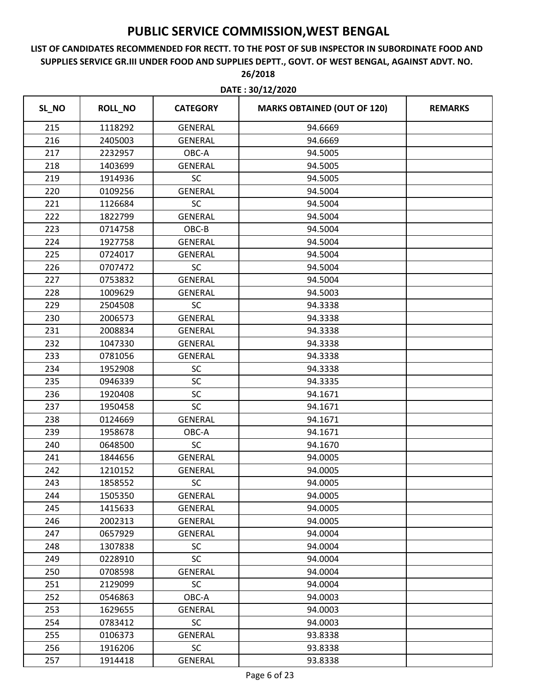### **LIST OF CANDIDATES RECOMMENDED FOR RECTT. TO THE POST OF SUB INSPECTOR IN SUBORDINATE FOOD AND SUPPLIES SERVICE GR.III UNDER FOOD AND SUPPLIES DEPTT., GOVT. OF WEST BENGAL, AGAINST ADVT. NO. 26/2018**

| SL_NO | <b>ROLL_NO</b> | <b>CATEGORY</b> | <b>MARKS OBTAINED (OUT OF 120)</b> | <b>REMARKS</b> |
|-------|----------------|-----------------|------------------------------------|----------------|
| 215   | 1118292        | <b>GENERAL</b>  | 94.6669                            |                |
| 216   | 2405003        | <b>GENERAL</b>  | 94.6669                            |                |
| 217   | 2232957        | OBC-A           | 94.5005                            |                |
| 218   | 1403699        | <b>GENERAL</b>  | 94.5005                            |                |
| 219   | 1914936        | <b>SC</b>       | 94.5005                            |                |
| 220   | 0109256        | <b>GENERAL</b>  | 94.5004                            |                |
| 221   | 1126684        | SC              | 94.5004                            |                |
| 222   | 1822799        | <b>GENERAL</b>  | 94.5004                            |                |
| 223   | 0714758        | OBC-B           | 94.5004                            |                |
| 224   | 1927758        | <b>GENERAL</b>  | 94.5004                            |                |
| 225   | 0724017        | <b>GENERAL</b>  | 94.5004                            |                |
| 226   | 0707472        | <b>SC</b>       | 94.5004                            |                |
| 227   | 0753832        | <b>GENERAL</b>  | 94.5004                            |                |
| 228   | 1009629        | <b>GENERAL</b>  | 94.5003                            |                |
| 229   | 2504508        | SC              | 94.3338                            |                |
| 230   | 2006573        | <b>GENERAL</b>  | 94.3338                            |                |
| 231   | 2008834        | <b>GENERAL</b>  | 94.3338                            |                |
| 232   | 1047330        | <b>GENERAL</b>  | 94.3338                            |                |
| 233   | 0781056        | <b>GENERAL</b>  | 94.3338                            |                |
| 234   | 1952908        | SC              | 94.3338                            |                |
| 235   | 0946339        | SC              | 94.3335                            |                |
| 236   | 1920408        | SC              | 94.1671                            |                |
| 237   | 1950458        | SC              | 94.1671                            |                |
| 238   | 0124669        | <b>GENERAL</b>  | 94.1671                            |                |
| 239   | 1958678        | OBC-A           | 94.1671                            |                |
| 240   | 0648500        | SC              | 94.1670                            |                |
| 241   | 1844656        | <b>GENERAL</b>  | 94.0005                            |                |
| 242   | 1210152        | <b>GENERAL</b>  | 94.0005                            |                |
| 243   | 1858552        | <b>SC</b>       | 94.0005                            |                |
| 244   | 1505350        | <b>GENERAL</b>  | 94.0005                            |                |
| 245   | 1415633        | <b>GENERAL</b>  | 94.0005                            |                |
| 246   | 2002313        | GENERAL         | 94.0005                            |                |
| 247   | 0657929        | <b>GENERAL</b>  | 94.0004                            |                |
| 248   | 1307838        | <b>SC</b>       | 94.0004                            |                |
| 249   | 0228910        | <b>SC</b>       | 94.0004                            |                |
| 250   | 0708598        | <b>GENERAL</b>  | 94.0004                            |                |
| 251   | 2129099        | <b>SC</b>       | 94.0004                            |                |
| 252   | 0546863        | OBC-A           | 94.0003                            |                |
| 253   | 1629655        | GENERAL         | 94.0003                            |                |
| 254   | 0783412        | <b>SC</b>       | 94.0003                            |                |
| 255   | 0106373        | <b>GENERAL</b>  | 93.8338                            |                |
| 256   | 1916206        | <b>SC</b>       | 93.8338                            |                |
| 257   | 1914418        | GENERAL         | 93.8338                            |                |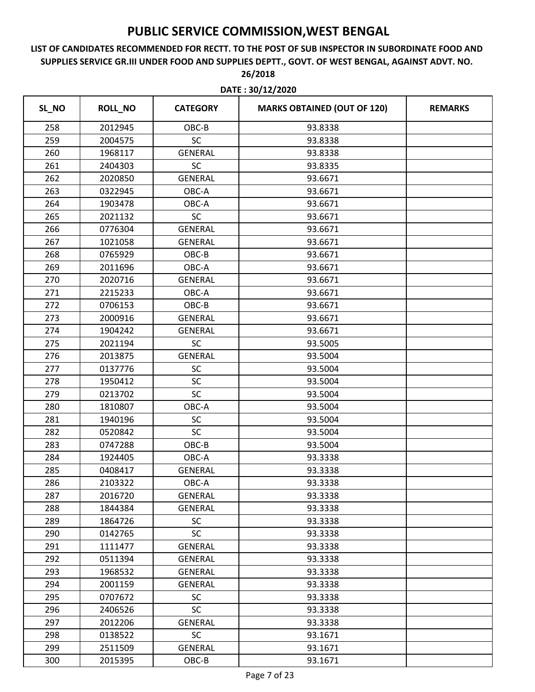| SL_NO<br><b>ROLL_NO</b><br><b>MARKS OBTAINED (OUT OF 120)</b><br><b>CATEGORY</b><br><b>REMARKS</b><br>258<br>2012945<br>OBC-B<br>93.8338<br>SC<br>259<br>93.8338<br>2004575<br>260<br><b>GENERAL</b><br>93.8338<br>1968117<br><b>SC</b><br>261<br>2404303<br>93.8335<br>262<br><b>GENERAL</b><br>93.6671<br>2020850<br>263<br>0322945<br>OBC-A<br>93.6671<br>264<br>OBC-A<br>93.6671<br>1903478<br>265<br>2021132<br><b>SC</b><br>93.6671<br>266<br>0776304<br><b>GENERAL</b><br>93.6671<br>267<br>1021058<br><b>GENERAL</b><br>93.6671<br>268<br>0765929<br>OBC-B<br>93.6671<br>269<br>OBC-A<br>2011696<br>93.6671<br>270<br>2020716<br><b>GENERAL</b><br>93.6671<br>271<br>2215233<br>OBC-A<br>93.6671<br>272<br>0706153<br>OBC-B<br>93.6671<br>273<br>2000916<br>93.6671<br><b>GENERAL</b><br>274<br>93.6671<br>1904242<br><b>GENERAL</b><br><b>SC</b><br>275<br>2021194<br>93.5005<br><b>GENERAL</b><br>276<br>2013875<br>93.5004<br>277<br>0137776<br>SC<br>93.5004<br>SC<br>278<br>1950412<br>93.5004<br><b>SC</b><br>279<br>0213702<br>93.5004<br>1810807<br>OBC-A<br>93.5004<br>280<br>SC<br>281<br>1940196<br>93.5004<br><b>SC</b><br>282<br>0520842<br>93.5004<br>OBC-B<br>283<br>0747288<br>93.5004<br>284<br>OBC-A<br>1924405<br>93.3338<br>285<br>0408417<br><b>GENERAL</b><br>93.3338<br>2103322<br>93.3338<br>286<br>OBC-A<br>287<br>2016720<br>GENERAL<br>93.3338<br>288<br>1844384<br>GENERAL<br>93.3338<br><b>SC</b><br>289<br>1864726<br>93.3338<br>SC<br>0142765<br>93.3338<br>290<br>GENERAL<br>291<br>1111477<br>93.3338<br>292<br>0511394<br>GENERAL<br>93.3338<br>293<br>1968532<br><b>GENERAL</b><br>93.3338<br>2001159<br>294<br><b>GENERAL</b><br>93.3338<br>295<br>0707672<br><b>SC</b><br>93.3338<br><b>SC</b><br>296<br>2406526<br>93.3338<br>2012206<br><b>GENERAL</b><br>297<br>93.3338<br>0138522<br><b>SC</b><br>298<br>93.1671<br>299<br>2511509<br>GENERAL<br>93.1671<br>300<br>2015395<br>93.1671<br>OBC-B | DATE: 30/12/2020 |  |  |  |  |
|-------------------------------------------------------------------------------------------------------------------------------------------------------------------------------------------------------------------------------------------------------------------------------------------------------------------------------------------------------------------------------------------------------------------------------------------------------------------------------------------------------------------------------------------------------------------------------------------------------------------------------------------------------------------------------------------------------------------------------------------------------------------------------------------------------------------------------------------------------------------------------------------------------------------------------------------------------------------------------------------------------------------------------------------------------------------------------------------------------------------------------------------------------------------------------------------------------------------------------------------------------------------------------------------------------------------------------------------------------------------------------------------------------------------------------------------------------------------------------------------------------------------------------------------------------------------------------------------------------------------------------------------------------------------------------------------------------------------------------------------------------------------------------------------------------------------------------------------------------------------------------------------------------------------------------------------------|------------------|--|--|--|--|
|                                                                                                                                                                                                                                                                                                                                                                                                                                                                                                                                                                                                                                                                                                                                                                                                                                                                                                                                                                                                                                                                                                                                                                                                                                                                                                                                                                                                                                                                                                                                                                                                                                                                                                                                                                                                                                                                                                                                                 |                  |  |  |  |  |
|                                                                                                                                                                                                                                                                                                                                                                                                                                                                                                                                                                                                                                                                                                                                                                                                                                                                                                                                                                                                                                                                                                                                                                                                                                                                                                                                                                                                                                                                                                                                                                                                                                                                                                                                                                                                                                                                                                                                                 |                  |  |  |  |  |
|                                                                                                                                                                                                                                                                                                                                                                                                                                                                                                                                                                                                                                                                                                                                                                                                                                                                                                                                                                                                                                                                                                                                                                                                                                                                                                                                                                                                                                                                                                                                                                                                                                                                                                                                                                                                                                                                                                                                                 |                  |  |  |  |  |
|                                                                                                                                                                                                                                                                                                                                                                                                                                                                                                                                                                                                                                                                                                                                                                                                                                                                                                                                                                                                                                                                                                                                                                                                                                                                                                                                                                                                                                                                                                                                                                                                                                                                                                                                                                                                                                                                                                                                                 |                  |  |  |  |  |
|                                                                                                                                                                                                                                                                                                                                                                                                                                                                                                                                                                                                                                                                                                                                                                                                                                                                                                                                                                                                                                                                                                                                                                                                                                                                                                                                                                                                                                                                                                                                                                                                                                                                                                                                                                                                                                                                                                                                                 |                  |  |  |  |  |
|                                                                                                                                                                                                                                                                                                                                                                                                                                                                                                                                                                                                                                                                                                                                                                                                                                                                                                                                                                                                                                                                                                                                                                                                                                                                                                                                                                                                                                                                                                                                                                                                                                                                                                                                                                                                                                                                                                                                                 |                  |  |  |  |  |
|                                                                                                                                                                                                                                                                                                                                                                                                                                                                                                                                                                                                                                                                                                                                                                                                                                                                                                                                                                                                                                                                                                                                                                                                                                                                                                                                                                                                                                                                                                                                                                                                                                                                                                                                                                                                                                                                                                                                                 |                  |  |  |  |  |
|                                                                                                                                                                                                                                                                                                                                                                                                                                                                                                                                                                                                                                                                                                                                                                                                                                                                                                                                                                                                                                                                                                                                                                                                                                                                                                                                                                                                                                                                                                                                                                                                                                                                                                                                                                                                                                                                                                                                                 |                  |  |  |  |  |
|                                                                                                                                                                                                                                                                                                                                                                                                                                                                                                                                                                                                                                                                                                                                                                                                                                                                                                                                                                                                                                                                                                                                                                                                                                                                                                                                                                                                                                                                                                                                                                                                                                                                                                                                                                                                                                                                                                                                                 |                  |  |  |  |  |
|                                                                                                                                                                                                                                                                                                                                                                                                                                                                                                                                                                                                                                                                                                                                                                                                                                                                                                                                                                                                                                                                                                                                                                                                                                                                                                                                                                                                                                                                                                                                                                                                                                                                                                                                                                                                                                                                                                                                                 |                  |  |  |  |  |
|                                                                                                                                                                                                                                                                                                                                                                                                                                                                                                                                                                                                                                                                                                                                                                                                                                                                                                                                                                                                                                                                                                                                                                                                                                                                                                                                                                                                                                                                                                                                                                                                                                                                                                                                                                                                                                                                                                                                                 |                  |  |  |  |  |
|                                                                                                                                                                                                                                                                                                                                                                                                                                                                                                                                                                                                                                                                                                                                                                                                                                                                                                                                                                                                                                                                                                                                                                                                                                                                                                                                                                                                                                                                                                                                                                                                                                                                                                                                                                                                                                                                                                                                                 |                  |  |  |  |  |
|                                                                                                                                                                                                                                                                                                                                                                                                                                                                                                                                                                                                                                                                                                                                                                                                                                                                                                                                                                                                                                                                                                                                                                                                                                                                                                                                                                                                                                                                                                                                                                                                                                                                                                                                                                                                                                                                                                                                                 |                  |  |  |  |  |
|                                                                                                                                                                                                                                                                                                                                                                                                                                                                                                                                                                                                                                                                                                                                                                                                                                                                                                                                                                                                                                                                                                                                                                                                                                                                                                                                                                                                                                                                                                                                                                                                                                                                                                                                                                                                                                                                                                                                                 |                  |  |  |  |  |
|                                                                                                                                                                                                                                                                                                                                                                                                                                                                                                                                                                                                                                                                                                                                                                                                                                                                                                                                                                                                                                                                                                                                                                                                                                                                                                                                                                                                                                                                                                                                                                                                                                                                                                                                                                                                                                                                                                                                                 |                  |  |  |  |  |
|                                                                                                                                                                                                                                                                                                                                                                                                                                                                                                                                                                                                                                                                                                                                                                                                                                                                                                                                                                                                                                                                                                                                                                                                                                                                                                                                                                                                                                                                                                                                                                                                                                                                                                                                                                                                                                                                                                                                                 |                  |  |  |  |  |
|                                                                                                                                                                                                                                                                                                                                                                                                                                                                                                                                                                                                                                                                                                                                                                                                                                                                                                                                                                                                                                                                                                                                                                                                                                                                                                                                                                                                                                                                                                                                                                                                                                                                                                                                                                                                                                                                                                                                                 |                  |  |  |  |  |
|                                                                                                                                                                                                                                                                                                                                                                                                                                                                                                                                                                                                                                                                                                                                                                                                                                                                                                                                                                                                                                                                                                                                                                                                                                                                                                                                                                                                                                                                                                                                                                                                                                                                                                                                                                                                                                                                                                                                                 |                  |  |  |  |  |
|                                                                                                                                                                                                                                                                                                                                                                                                                                                                                                                                                                                                                                                                                                                                                                                                                                                                                                                                                                                                                                                                                                                                                                                                                                                                                                                                                                                                                                                                                                                                                                                                                                                                                                                                                                                                                                                                                                                                                 |                  |  |  |  |  |
|                                                                                                                                                                                                                                                                                                                                                                                                                                                                                                                                                                                                                                                                                                                                                                                                                                                                                                                                                                                                                                                                                                                                                                                                                                                                                                                                                                                                                                                                                                                                                                                                                                                                                                                                                                                                                                                                                                                                                 |                  |  |  |  |  |
|                                                                                                                                                                                                                                                                                                                                                                                                                                                                                                                                                                                                                                                                                                                                                                                                                                                                                                                                                                                                                                                                                                                                                                                                                                                                                                                                                                                                                                                                                                                                                                                                                                                                                                                                                                                                                                                                                                                                                 |                  |  |  |  |  |
|                                                                                                                                                                                                                                                                                                                                                                                                                                                                                                                                                                                                                                                                                                                                                                                                                                                                                                                                                                                                                                                                                                                                                                                                                                                                                                                                                                                                                                                                                                                                                                                                                                                                                                                                                                                                                                                                                                                                                 |                  |  |  |  |  |
|                                                                                                                                                                                                                                                                                                                                                                                                                                                                                                                                                                                                                                                                                                                                                                                                                                                                                                                                                                                                                                                                                                                                                                                                                                                                                                                                                                                                                                                                                                                                                                                                                                                                                                                                                                                                                                                                                                                                                 |                  |  |  |  |  |
|                                                                                                                                                                                                                                                                                                                                                                                                                                                                                                                                                                                                                                                                                                                                                                                                                                                                                                                                                                                                                                                                                                                                                                                                                                                                                                                                                                                                                                                                                                                                                                                                                                                                                                                                                                                                                                                                                                                                                 |                  |  |  |  |  |
|                                                                                                                                                                                                                                                                                                                                                                                                                                                                                                                                                                                                                                                                                                                                                                                                                                                                                                                                                                                                                                                                                                                                                                                                                                                                                                                                                                                                                                                                                                                                                                                                                                                                                                                                                                                                                                                                                                                                                 |                  |  |  |  |  |
|                                                                                                                                                                                                                                                                                                                                                                                                                                                                                                                                                                                                                                                                                                                                                                                                                                                                                                                                                                                                                                                                                                                                                                                                                                                                                                                                                                                                                                                                                                                                                                                                                                                                                                                                                                                                                                                                                                                                                 |                  |  |  |  |  |
|                                                                                                                                                                                                                                                                                                                                                                                                                                                                                                                                                                                                                                                                                                                                                                                                                                                                                                                                                                                                                                                                                                                                                                                                                                                                                                                                                                                                                                                                                                                                                                                                                                                                                                                                                                                                                                                                                                                                                 |                  |  |  |  |  |
|                                                                                                                                                                                                                                                                                                                                                                                                                                                                                                                                                                                                                                                                                                                                                                                                                                                                                                                                                                                                                                                                                                                                                                                                                                                                                                                                                                                                                                                                                                                                                                                                                                                                                                                                                                                                                                                                                                                                                 |                  |  |  |  |  |
|                                                                                                                                                                                                                                                                                                                                                                                                                                                                                                                                                                                                                                                                                                                                                                                                                                                                                                                                                                                                                                                                                                                                                                                                                                                                                                                                                                                                                                                                                                                                                                                                                                                                                                                                                                                                                                                                                                                                                 |                  |  |  |  |  |
|                                                                                                                                                                                                                                                                                                                                                                                                                                                                                                                                                                                                                                                                                                                                                                                                                                                                                                                                                                                                                                                                                                                                                                                                                                                                                                                                                                                                                                                                                                                                                                                                                                                                                                                                                                                                                                                                                                                                                 |                  |  |  |  |  |
|                                                                                                                                                                                                                                                                                                                                                                                                                                                                                                                                                                                                                                                                                                                                                                                                                                                                                                                                                                                                                                                                                                                                                                                                                                                                                                                                                                                                                                                                                                                                                                                                                                                                                                                                                                                                                                                                                                                                                 |                  |  |  |  |  |
|                                                                                                                                                                                                                                                                                                                                                                                                                                                                                                                                                                                                                                                                                                                                                                                                                                                                                                                                                                                                                                                                                                                                                                                                                                                                                                                                                                                                                                                                                                                                                                                                                                                                                                                                                                                                                                                                                                                                                 |                  |  |  |  |  |
|                                                                                                                                                                                                                                                                                                                                                                                                                                                                                                                                                                                                                                                                                                                                                                                                                                                                                                                                                                                                                                                                                                                                                                                                                                                                                                                                                                                                                                                                                                                                                                                                                                                                                                                                                                                                                                                                                                                                                 |                  |  |  |  |  |
|                                                                                                                                                                                                                                                                                                                                                                                                                                                                                                                                                                                                                                                                                                                                                                                                                                                                                                                                                                                                                                                                                                                                                                                                                                                                                                                                                                                                                                                                                                                                                                                                                                                                                                                                                                                                                                                                                                                                                 |                  |  |  |  |  |
|                                                                                                                                                                                                                                                                                                                                                                                                                                                                                                                                                                                                                                                                                                                                                                                                                                                                                                                                                                                                                                                                                                                                                                                                                                                                                                                                                                                                                                                                                                                                                                                                                                                                                                                                                                                                                                                                                                                                                 |                  |  |  |  |  |
|                                                                                                                                                                                                                                                                                                                                                                                                                                                                                                                                                                                                                                                                                                                                                                                                                                                                                                                                                                                                                                                                                                                                                                                                                                                                                                                                                                                                                                                                                                                                                                                                                                                                                                                                                                                                                                                                                                                                                 |                  |  |  |  |  |
|                                                                                                                                                                                                                                                                                                                                                                                                                                                                                                                                                                                                                                                                                                                                                                                                                                                                                                                                                                                                                                                                                                                                                                                                                                                                                                                                                                                                                                                                                                                                                                                                                                                                                                                                                                                                                                                                                                                                                 |                  |  |  |  |  |
|                                                                                                                                                                                                                                                                                                                                                                                                                                                                                                                                                                                                                                                                                                                                                                                                                                                                                                                                                                                                                                                                                                                                                                                                                                                                                                                                                                                                                                                                                                                                                                                                                                                                                                                                                                                                                                                                                                                                                 |                  |  |  |  |  |
|                                                                                                                                                                                                                                                                                                                                                                                                                                                                                                                                                                                                                                                                                                                                                                                                                                                                                                                                                                                                                                                                                                                                                                                                                                                                                                                                                                                                                                                                                                                                                                                                                                                                                                                                                                                                                                                                                                                                                 |                  |  |  |  |  |
|                                                                                                                                                                                                                                                                                                                                                                                                                                                                                                                                                                                                                                                                                                                                                                                                                                                                                                                                                                                                                                                                                                                                                                                                                                                                                                                                                                                                                                                                                                                                                                                                                                                                                                                                                                                                                                                                                                                                                 |                  |  |  |  |  |
|                                                                                                                                                                                                                                                                                                                                                                                                                                                                                                                                                                                                                                                                                                                                                                                                                                                                                                                                                                                                                                                                                                                                                                                                                                                                                                                                                                                                                                                                                                                                                                                                                                                                                                                                                                                                                                                                                                                                                 |                  |  |  |  |  |
|                                                                                                                                                                                                                                                                                                                                                                                                                                                                                                                                                                                                                                                                                                                                                                                                                                                                                                                                                                                                                                                                                                                                                                                                                                                                                                                                                                                                                                                                                                                                                                                                                                                                                                                                                                                                                                                                                                                                                 |                  |  |  |  |  |
|                                                                                                                                                                                                                                                                                                                                                                                                                                                                                                                                                                                                                                                                                                                                                                                                                                                                                                                                                                                                                                                                                                                                                                                                                                                                                                                                                                                                                                                                                                                                                                                                                                                                                                                                                                                                                                                                                                                                                 |                  |  |  |  |  |
|                                                                                                                                                                                                                                                                                                                                                                                                                                                                                                                                                                                                                                                                                                                                                                                                                                                                                                                                                                                                                                                                                                                                                                                                                                                                                                                                                                                                                                                                                                                                                                                                                                                                                                                                                                                                                                                                                                                                                 |                  |  |  |  |  |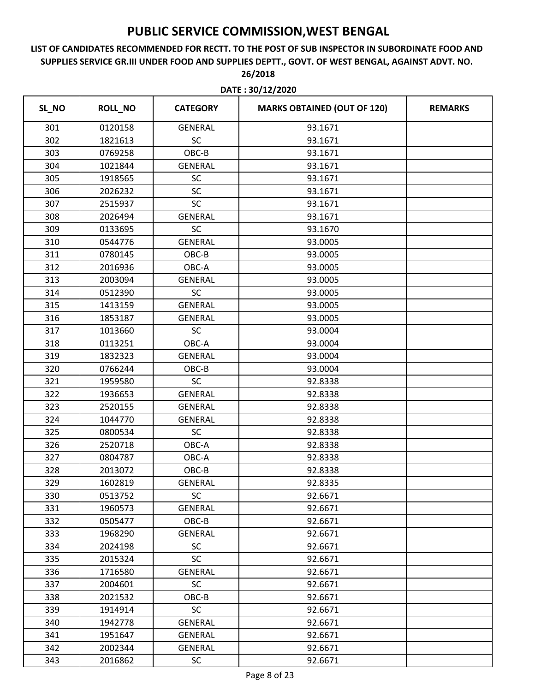### **LIST OF CANDIDATES RECOMMENDED FOR RECTT. TO THE POST OF SUB INSPECTOR IN SUBORDINATE FOOD AND SUPPLIES SERVICE GR.III UNDER FOOD AND SUPPLIES DEPTT., GOVT. OF WEST BENGAL, AGAINST ADVT. NO. 26/2018**

| SL_NO | <b>ROLL_NO</b> | <b>CATEGORY</b> | <b>MARKS OBTAINED (OUT OF 120)</b> | <b>REMARKS</b> |
|-------|----------------|-----------------|------------------------------------|----------------|
| 301   | 0120158        | <b>GENERAL</b>  | 93.1671                            |                |
| 302   | 1821613        | <b>SC</b>       | 93.1671                            |                |
| 303   | 0769258        | OBC-B           | 93.1671                            |                |
| 304   | 1021844        | GENERAL         | 93.1671                            |                |
| 305   | 1918565        | SC              | 93.1671                            |                |
| 306   | 2026232        | SC              | 93.1671                            |                |
| 307   | 2515937        | SC              | 93.1671                            |                |
| 308   | 2026494        | <b>GENERAL</b>  | 93.1671                            |                |
| 309   | 0133695        | SC              | 93.1670                            |                |
| 310   | 0544776        | <b>GENERAL</b>  | 93.0005                            |                |
| 311   | 0780145        | OBC-B           | 93.0005                            |                |
| 312   | 2016936        | OBC-A           | 93.0005                            |                |
| 313   | 2003094        | <b>GENERAL</b>  | 93.0005                            |                |
| 314   | 0512390        | SC              | 93.0005                            |                |
| 315   | 1413159        | <b>GENERAL</b>  | 93.0005                            |                |
| 316   | 1853187        | <b>GENERAL</b>  | 93.0005                            |                |
| 317   | 1013660        | <b>SC</b>       | 93.0004                            |                |
| 318   | 0113251        | OBC-A           | 93.0004                            |                |
| 319   | 1832323        | <b>GENERAL</b>  | 93.0004                            |                |
| 320   | 0766244        | OBC-B           | 93.0004                            |                |
| 321   | 1959580        | <b>SC</b>       | 92.8338                            |                |
| 322   | 1936653        | <b>GENERAL</b>  | 92.8338                            |                |
| 323   | 2520155        | <b>GENERAL</b>  | 92.8338                            |                |
| 324   | 1044770        | <b>GENERAL</b>  | 92.8338                            |                |
| 325   | 0800534        | SC              | 92.8338                            |                |
| 326   | 2520718        | OBC-A           | 92.8338                            |                |
| 327   | 0804787        | OBC-A           | 92.8338                            |                |
| 328   | 2013072        | OBC-B           | 92.8338                            |                |
| 329   | 1602819        | <b>GENERAL</b>  | 92.8335                            |                |
| 330   | 0513752        | <b>SC</b>       | 92.6671                            |                |
| 331   | 1960573        | GENERAL         | 92.6671                            |                |
| 332   | 0505477        | OBC-B           | 92.6671                            |                |
| 333   | 1968290        | GENERAL         | 92.6671                            |                |
| 334   | 2024198        | <b>SC</b>       | 92.6671                            |                |
| 335   | 2015324        | <b>SC</b>       | 92.6671                            |                |
| 336   | 1716580        | <b>GENERAL</b>  | 92.6671                            |                |
| 337   | 2004601        | <b>SC</b>       | 92.6671                            |                |
| 338   | 2021532        | OBC-B           | 92.6671                            |                |
| 339   | 1914914        | <b>SC</b>       | 92.6671                            |                |
| 340   | 1942778        | GENERAL         | 92.6671                            |                |
| 341   | 1951647        | GENERAL         | 92.6671                            |                |
| 342   | 2002344        | <b>GENERAL</b>  | 92.6671                            |                |
| 343   | 2016862        | <b>SC</b>       | 92.6671                            |                |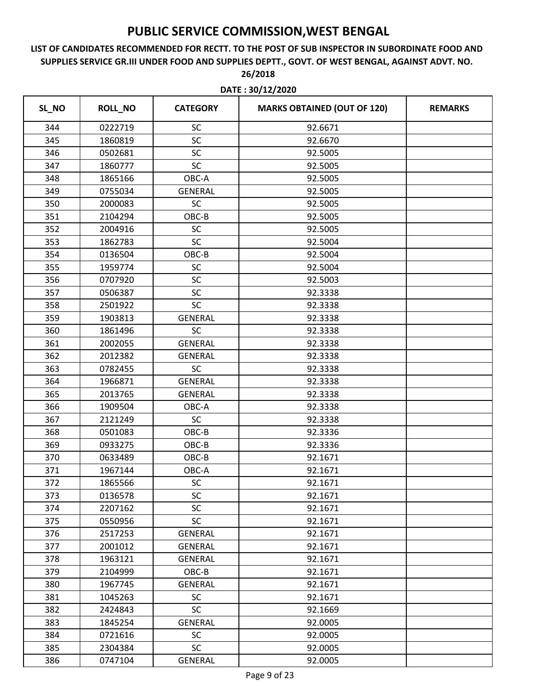| SL_NO | <b>ROLL_NO</b> | <b>CATEGORY</b> | <b>MARKS OBTAINED (OUT OF 120)</b> | <b>REMARKS</b> |
|-------|----------------|-----------------|------------------------------------|----------------|
| 344   | 0222719        | SC              | 92.6671                            |                |
| 345   | 1860819        | SC              | 92.6670                            |                |
| 346   | 0502681        | SC              | 92.5005                            |                |
| 347   | 1860777        | SC              | 92.5005                            |                |
| 348   | 1865166        | OBC-A           | 92.5005                            |                |
| 349   | 0755034        | <b>GENERAL</b>  | 92.5005                            |                |
| 350   | 2000083        | <b>SC</b>       | 92.5005                            |                |
| 351   | 2104294        | OBC-B           | 92.5005                            |                |
| 352   | 2004916        | SC              | 92.5005                            |                |
| 353   | 1862783        | <b>SC</b>       | 92.5004                            |                |
| 354   | 0136504        | OBC-B           | 92.5004                            |                |
| 355   | 1959774        | SC              | 92.5004                            |                |
| 356   | 0707920        | SC              | 92.5003                            |                |
| 357   | 0506387        | SC              | 92.3338                            |                |
| 358   | 2501922        | SC              | 92.3338                            |                |
| 359   | 1903813        | <b>GENERAL</b>  | 92.3338                            |                |
| 360   | 1861496        | SC              | 92.3338                            |                |
| 361   | 2002055        | <b>GENERAL</b>  | 92.3338                            |                |
| 362   | 2012382        | <b>GENERAL</b>  | 92.3338                            |                |
| 363   | 0782455        | <b>SC</b>       | 92.3338                            |                |
| 364   | 1966871        | <b>GENERAL</b>  | 92.3338                            |                |
| 365   | 2013765        | <b>GENERAL</b>  | 92.3338                            |                |
| 366   | 1909504        | OBC-A           | 92.3338                            |                |
| 367   | 2121249        | <b>SC</b>       | 92.3338                            |                |
| 368   | 0501083        | OBC-B           | 92.3336                            |                |
| 369   | 0933275        | OBC-B           | 92.3336                            |                |
| 370   | 0633489        | $OBC-B$         | 92.1671                            |                |
| 371   | 1967144        | OBC-A           | 92.1671                            |                |
| 372   | 1865566        | SC              | 92.1671                            |                |
| 373   | 0136578        | <b>SC</b>       | 92.1671                            |                |
| 374   | 2207162        | SC              | 92.1671                            |                |
| 375   | 0550956        | <b>SC</b>       | 92.1671                            |                |
| 376   | 2517253        | <b>GENERAL</b>  | 92.1671                            |                |
| 377   | 2001012        | <b>GENERAL</b>  | 92.1671                            |                |
| 378   | 1963121        | <b>GENERAL</b>  | 92.1671                            |                |
| 379   | 2104999        | OBC-B           | 92.1671                            |                |
| 380   | 1967745        | <b>GENERAL</b>  | 92.1671                            |                |
| 381   | 1045263        | <b>SC</b>       | 92.1671                            |                |
| 382   | 2424843        | <b>SC</b>       | 92.1669                            |                |
| 383   | 1845254        | <b>GENERAL</b>  | 92.0005                            |                |
| 384   | 0721616        | <b>SC</b>       | 92.0005                            |                |
| 385   | 2304384        | <b>SC</b>       | 92.0005                            |                |
| 386   | 0747104        | <b>GENERAL</b>  | 92.0005                            |                |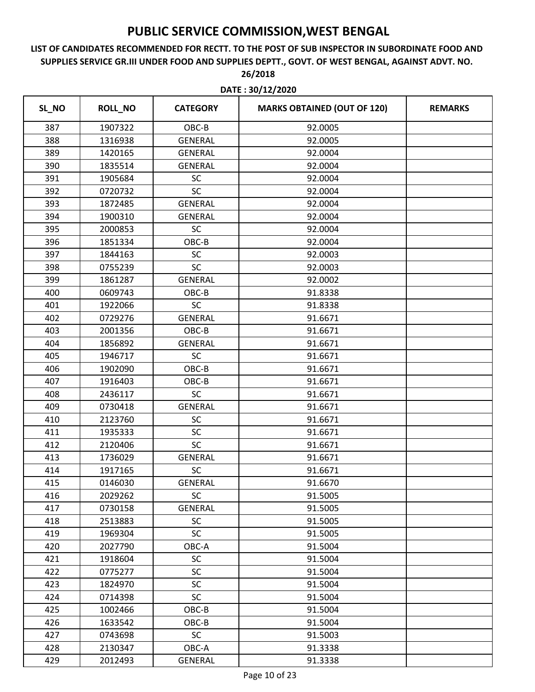|       | DATE: 30/12/2020 |                 |                                    |                |  |  |
|-------|------------------|-----------------|------------------------------------|----------------|--|--|
| SL_NO | <b>ROLL_NO</b>   | <b>CATEGORY</b> | <b>MARKS OBTAINED (OUT OF 120)</b> | <b>REMARKS</b> |  |  |
| 387   | 1907322          | OBC-B           | 92.0005                            |                |  |  |
| 388   | 1316938          | <b>GENERAL</b>  | 92.0005                            |                |  |  |
| 389   | 1420165          | <b>GENERAL</b>  | 92.0004                            |                |  |  |
| 390   | 1835514          | <b>GENERAL</b>  | 92.0004                            |                |  |  |
| 391   | 1905684          | SC              | 92.0004                            |                |  |  |
| 392   | 0720732          | <b>SC</b>       | 92.0004                            |                |  |  |
| 393   | 1872485          | <b>GENERAL</b>  | 92.0004                            |                |  |  |
| 394   | 1900310          | <b>GENERAL</b>  | 92.0004                            |                |  |  |
| 395   | 2000853          | SC              | 92.0004                            |                |  |  |
| 396   | 1851334          | OBC-B           | 92.0004                            |                |  |  |
| 397   | 1844163          | SC              | 92.0003                            |                |  |  |
| 398   | 0755239          | SC              | 92.0003                            |                |  |  |
| 399   | 1861287          | <b>GENERAL</b>  | 92.0002                            |                |  |  |
| 400   | 0609743          | OBC-B           | 91.8338                            |                |  |  |
| 401   | 1922066          | <b>SC</b>       | 91.8338                            |                |  |  |
| 402   | 0729276          | <b>GENERAL</b>  | 91.6671                            |                |  |  |
| 403   | 2001356          | OBC-B           | 91.6671                            |                |  |  |
| 404   | 1856892          | <b>GENERAL</b>  | 91.6671                            |                |  |  |
| 405   | 1946717          | SC              | 91.6671                            |                |  |  |
| 406   | 1902090          | OBC-B           | 91.6671                            |                |  |  |
| 407   | 1916403          | OBC-B           | 91.6671                            |                |  |  |
| 408   | 2436117          | <b>SC</b>       | 91.6671                            |                |  |  |
| 409   | 0730418          | <b>GENERAL</b>  | 91.6671                            |                |  |  |
| 410   | 2123760          | SC              | 91.6671                            |                |  |  |
| 411   | 1935333          | SC              | 91.6671                            |                |  |  |
| 412   | 2120406          | SC              | 91.6671                            |                |  |  |
| 413   | 1736029          | <b>GENERAL</b>  | 91.6671                            |                |  |  |
| 414   | 1917165          | <b>SC</b>       | 91.6671                            |                |  |  |
| 415   | 0146030          | <b>GENERAL</b>  | 91.6670                            |                |  |  |
| 416   | 2029262          | <b>SC</b>       | 91.5005                            |                |  |  |
| 417   | 0730158          | <b>GENERAL</b>  | 91.5005                            |                |  |  |
| 418   | 2513883          | <b>SC</b>       | 91.5005                            |                |  |  |
| 419   | 1969304          | <b>SC</b>       | 91.5005                            |                |  |  |
| 420   | 2027790          | OBC-A           | 91.5004                            |                |  |  |
| 421   | 1918604          | <b>SC</b>       | 91.5004                            |                |  |  |
| 422   | 0775277          | <b>SC</b>       | 91.5004                            |                |  |  |
| 423   | 1824970          | <b>SC</b>       | 91.5004                            |                |  |  |
| 424   | 0714398          | SC              | 91.5004                            |                |  |  |
| 425   | 1002466          | OBC-B           | 91.5004                            |                |  |  |
| 426   | 1633542          | OBC-B           | 91.5004                            |                |  |  |
| 427   | 0743698          | <b>SC</b>       | 91.5003                            |                |  |  |
| 428   | 2130347          | OBC-A           | 91.3338                            |                |  |  |
| 429   | 2012493          | GENERAL         | 91.3338                            |                |  |  |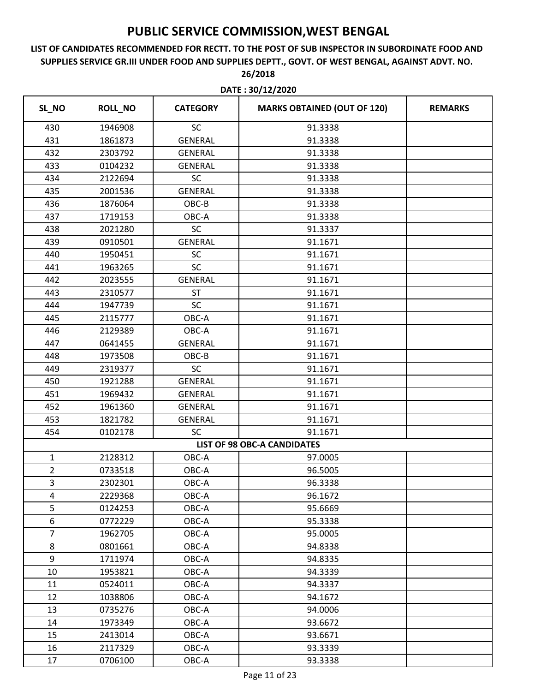### **LIST OF CANDIDATES RECOMMENDED FOR RECTT. TO THE POST OF SUB INSPECTOR IN SUBORDINATE FOOD AND SUPPLIES SERVICE GR.III UNDER FOOD AND SUPPLIES DEPTT., GOVT. OF WEST BENGAL, AGAINST ADVT. NO. 26/2018**

|                | DATE: 30/12/2020 |                 |                                    |                |  |
|----------------|------------------|-----------------|------------------------------------|----------------|--|
| SL_NO          | <b>ROLL_NO</b>   | <b>CATEGORY</b> | <b>MARKS OBTAINED (OUT OF 120)</b> | <b>REMARKS</b> |  |
| 430            | 1946908          | SC              | 91.3338                            |                |  |
| 431            | 1861873          | <b>GENERAL</b>  | 91.3338                            |                |  |
| 432            | 2303792          | <b>GENERAL</b>  | 91.3338                            |                |  |
| 433            | 0104232          | <b>GENERAL</b>  | 91.3338                            |                |  |
| 434            | 2122694          | <b>SC</b>       | 91.3338                            |                |  |
| 435            | 2001536          | <b>GENERAL</b>  | 91.3338                            |                |  |
| 436            | 1876064          | OBC-B           | 91.3338                            |                |  |
| 437            | 1719153          | $OBC-A$         | 91.3338                            |                |  |
| 438            | 2021280          | <b>SC</b>       | 91.3337                            |                |  |
| 439            | 0910501          | <b>GENERAL</b>  | 91.1671                            |                |  |
| 440            | 1950451          | SC              | 91.1671                            |                |  |
| 441            | 1963265          | SC              | 91.1671                            |                |  |
| 442            | 2023555          | <b>GENERAL</b>  | 91.1671                            |                |  |
| 443            | 2310577          | <b>ST</b>       | 91.1671                            |                |  |
| 444            | 1947739          | <b>SC</b>       | 91.1671                            |                |  |
| 445            | 2115777          | OBC-A           | 91.1671                            |                |  |
| 446            | 2129389          | OBC-A           | 91.1671                            |                |  |
| 447            | 0641455          | <b>GENERAL</b>  | 91.1671                            |                |  |
| 448            | 1973508          | OBC-B           | 91.1671                            |                |  |
| 449            | 2319377          | <b>SC</b>       | 91.1671                            |                |  |
| 450            | 1921288          | <b>GENERAL</b>  | 91.1671                            |                |  |
| 451            | 1969432          | <b>GENERAL</b>  | 91.1671                            |                |  |
| 452            | 1961360          | <b>GENERAL</b>  | 91.1671                            |                |  |
| 453            | 1821782          | <b>GENERAL</b>  | 91.1671                            |                |  |
| 454            | 0102178          | SC              | 91.1671                            |                |  |
|                |                  |                 | <b>LIST OF 98 OBC-A CANDIDATES</b> |                |  |
| $\mathbf{1}$   | 2128312          | OBC-A           | 97.0005                            |                |  |
| $\overline{2}$ | 0733518          | OBC-A           | 96.5005                            |                |  |
| 3              | 2302301          | OBC-A           | 96.3338                            |                |  |
| 4              | 2229368          | OBC-A           | 96.1672                            |                |  |
| 5              | 0124253          | OBC-A           | 95.6669                            |                |  |
| 6              | 0772229          | OBC-A           | 95.3338                            |                |  |
| $\overline{7}$ | 1962705          | OBC-A           | 95.0005                            |                |  |
| 8              | 0801661          | OBC-A           | 94.8338                            |                |  |
| 9              | 1711974          | OBC-A           | 94.8335                            |                |  |
| 10             | 1953821          | OBC-A           | 94.3339                            |                |  |
| 11             | 0524011          | $OBC-A$         | 94.3337                            |                |  |
| 12             | 1038806          | OBC-A           | 94.1672                            |                |  |
| 13             | 0735276          | OBC-A           | 94.0006                            |                |  |
| 14             | 1973349          | OBC-A           | 93.6672                            |                |  |
| 15             | 2413014          | OBC-A           | 93.6671                            |                |  |
| 16             | 2117329          | OBC-A           | 93.3339                            |                |  |
| 17             | 0706100          | OBC-A           | 93.3338                            |                |  |
|                |                  |                 |                                    |                |  |

Page 11 of 23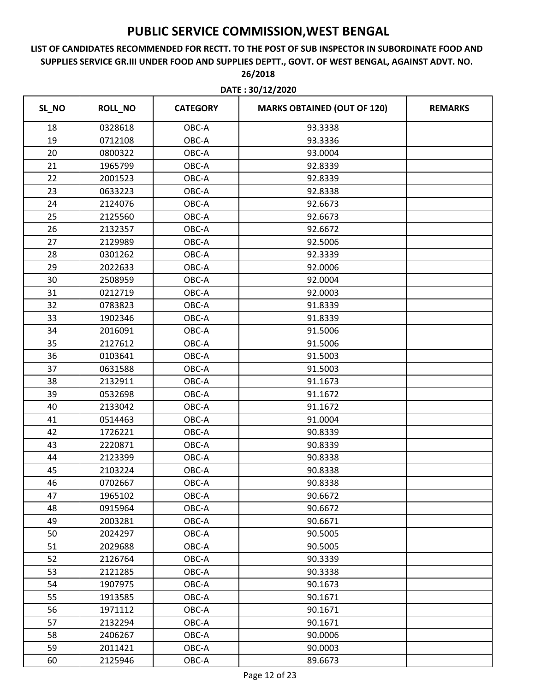|       | DATE: 30/12/2020 |                 |                                    |                |  |
|-------|------------------|-----------------|------------------------------------|----------------|--|
| SL_NO | <b>ROLL_NO</b>   | <b>CATEGORY</b> | <b>MARKS OBTAINED (OUT OF 120)</b> | <b>REMARKS</b> |  |
| 18    | 0328618          | OBC-A           | 93.3338                            |                |  |
| 19    | 0712108          | OBC-A           | 93.3336                            |                |  |
| 20    | 0800322          | OBC-A           | 93.0004                            |                |  |
| 21    | 1965799          | OBC-A           | 92.8339                            |                |  |
| 22    | 2001523          | OBC-A           | 92.8339                            |                |  |
| 23    | 0633223          | OBC-A           | 92.8338                            |                |  |
| 24    | 2124076          | OBC-A           | 92.6673                            |                |  |
| 25    | 2125560          | OBC-A           | 92.6673                            |                |  |
| 26    | 2132357          | OBC-A           | 92.6672                            |                |  |
| 27    | 2129989          | OBC-A           | 92.5006                            |                |  |
| 28    | 0301262          | OBC-A           | 92.3339                            |                |  |
| 29    | 2022633          | OBC-A           | 92.0006                            |                |  |
| 30    | 2508959          | OBC-A           | 92.0004                            |                |  |
| 31    | 0212719          | OBC-A           | 92.0003                            |                |  |
| 32    | 0783823          | OBC-A           | 91.8339                            |                |  |
| 33    | 1902346          | OBC-A           | 91.8339                            |                |  |
| 34    | 2016091          | OBC-A           | 91.5006                            |                |  |
| 35    | 2127612          | OBC-A           | 91.5006                            |                |  |
| 36    | 0103641          | OBC-A           | 91.5003                            |                |  |
| 37    | 0631588          | OBC-A           | 91.5003                            |                |  |
| 38    | 2132911          | OBC-A           | 91.1673                            |                |  |
| 39    | 0532698          | OBC-A           | 91.1672                            |                |  |
| 40    | 2133042          | OBC-A           | 91.1672                            |                |  |
| 41    | 0514463          | OBC-A           | 91.0004                            |                |  |
| 42    | 1726221          | OBC-A           | 90.8339                            |                |  |
| 43    | 2220871          | OBC-A           | 90.8339                            |                |  |
| 44    | 2123399          | OBC-A           | 90.8338                            |                |  |
| 45    | 2103224          | OBC-A           | 90.8338                            |                |  |
| 46    | 0702667          | OBC-A           | 90.8338                            |                |  |
| 47    | 1965102          | OBC-A           | 90.6672                            |                |  |
| 48    | 0915964          | OBC-A           | 90.6672                            |                |  |
| 49    | 2003281          | OBC-A           | 90.6671                            |                |  |
| 50    | 2024297          | OBC-A           | 90.5005                            |                |  |
| 51    | 2029688          | OBC-A           | 90.5005                            |                |  |
| 52    | 2126764          | OBC-A           | 90.3339                            |                |  |
| 53    | 2121285          | OBC-A           | 90.3338                            |                |  |
| 54    | 1907975          | OBC-A           | 90.1673                            |                |  |
| 55    | 1913585          | OBC-A           | 90.1671                            |                |  |
| 56    | 1971112          | OBC-A           | 90.1671                            |                |  |
| 57    | 2132294          | OBC-A           | 90.1671                            |                |  |
| 58    | 2406267          | OBC-A           | 90.0006                            |                |  |
| 59    | 2011421          | OBC-A           | 90.0003                            |                |  |
| 60    | 2125946          | OBC-A           | 89.6673                            |                |  |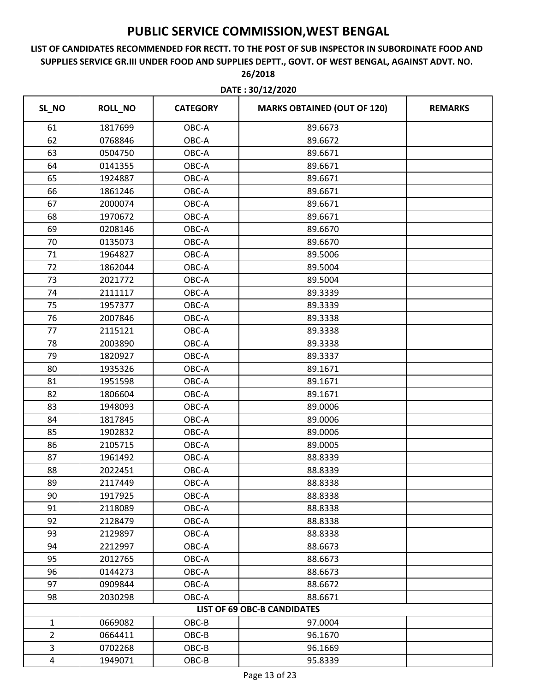| SL_NO<br><b>ROLL_NO</b><br><b>MARKS OBTAINED (OUT OF 120)</b><br><b>CATEGORY</b><br><b>REMARKS</b><br>61<br>1817699<br>OBC-A<br>89.6673<br>62<br>0768846<br>OBC-A<br>89.6672<br>63<br>0504750<br>OBC-A<br>89.6671<br>64<br>0141355<br>OBC-A<br>89.6671<br>65<br>1924887<br>OBC-A<br>89.6671<br>66<br>1861246<br>OBC-A<br>89.6671<br>67<br>2000074<br>OBC-A<br>89.6671<br>68<br>1970672<br>OBC-A<br>89.6671<br>69<br>0208146<br>OBC-A<br>89.6670<br>70<br>0135073<br>OBC-A<br>89.6670<br>71<br>1964827<br>OBC-A<br>89.5006<br>72<br>1862044<br>OBC-A<br>89.5004<br>73<br>2021772<br>OBC-A<br>89.5004<br>OBC-A<br>74<br>2111117<br>89.3339<br>75<br>1957377<br>OBC-A<br>89.3339<br>76<br>2007846<br>OBC-A<br>89.3338<br>77<br>2115121<br>OBC-A<br>89.3338<br>78<br>OBC-A<br>89.3338<br>2003890<br>79<br>1820927<br>OBC-A<br>89.3337<br>80<br>1935326<br>OBC-A<br>89.1671<br>81<br>1951598<br>OBC-A<br>89.1671<br>82<br>1806604<br>OBC-A<br>89.1671<br>83<br>1948093<br>OBC-A<br>89.0006<br>84<br>1817845<br>OBC-A<br>89.0006<br>85<br>1902832<br>OBC-A<br>89.0006<br>86<br>2105715<br>OBC-A<br>89.0005<br>87<br>1961492<br>OBC-A<br>88.8339<br>88<br>2022451<br>OBC-A<br>88.8339<br>89<br>88.8338<br>2117449<br>OBC-A<br>90<br>1917925<br>OBC-A<br>88.8338<br>91<br>OBC-A<br>2118089<br>88.8338<br>92<br>2128479<br>OBC-A<br>88.8338<br>93<br>2129897<br>OBC-A<br>88.8338<br>94<br>2212997<br>OBC-A<br>88.6673<br>95<br>2012765<br>OBC-A<br>88.6673<br>96<br>0144273<br>OBC-A<br>88.6673<br>97<br>0909844<br>OBC-A<br>88.6672<br>98<br>2030298<br>OBC-A<br>88.6671<br><b>LIST OF 69 OBC-B CANDIDATES</b><br>0669082<br>OBC-B<br>97.0004<br>$\mathbf{1}$<br>$\overline{2}$<br>0664411<br>OBC-B<br>96.1670<br>3<br>0702268<br>OBC-B<br>96.1669<br>4<br>1949071<br>OBC-B<br>95.8339 | DATE: 30/12/2020 |  |  |  |
|--------------------------------------------------------------------------------------------------------------------------------------------------------------------------------------------------------------------------------------------------------------------------------------------------------------------------------------------------------------------------------------------------------------------------------------------------------------------------------------------------------------------------------------------------------------------------------------------------------------------------------------------------------------------------------------------------------------------------------------------------------------------------------------------------------------------------------------------------------------------------------------------------------------------------------------------------------------------------------------------------------------------------------------------------------------------------------------------------------------------------------------------------------------------------------------------------------------------------------------------------------------------------------------------------------------------------------------------------------------------------------------------------------------------------------------------------------------------------------------------------------------------------------------------------------------------------------------------------------------------------------------------------------------------------------------------------------------------------------------------------------------------------------|------------------|--|--|--|
|                                                                                                                                                                                                                                                                                                                                                                                                                                                                                                                                                                                                                                                                                                                                                                                                                                                                                                                                                                                                                                                                                                                                                                                                                                                                                                                                                                                                                                                                                                                                                                                                                                                                                                                                                                                |                  |  |  |  |
|                                                                                                                                                                                                                                                                                                                                                                                                                                                                                                                                                                                                                                                                                                                                                                                                                                                                                                                                                                                                                                                                                                                                                                                                                                                                                                                                                                                                                                                                                                                                                                                                                                                                                                                                                                                |                  |  |  |  |
|                                                                                                                                                                                                                                                                                                                                                                                                                                                                                                                                                                                                                                                                                                                                                                                                                                                                                                                                                                                                                                                                                                                                                                                                                                                                                                                                                                                                                                                                                                                                                                                                                                                                                                                                                                                |                  |  |  |  |
|                                                                                                                                                                                                                                                                                                                                                                                                                                                                                                                                                                                                                                                                                                                                                                                                                                                                                                                                                                                                                                                                                                                                                                                                                                                                                                                                                                                                                                                                                                                                                                                                                                                                                                                                                                                |                  |  |  |  |
|                                                                                                                                                                                                                                                                                                                                                                                                                                                                                                                                                                                                                                                                                                                                                                                                                                                                                                                                                                                                                                                                                                                                                                                                                                                                                                                                                                                                                                                                                                                                                                                                                                                                                                                                                                                |                  |  |  |  |
|                                                                                                                                                                                                                                                                                                                                                                                                                                                                                                                                                                                                                                                                                                                                                                                                                                                                                                                                                                                                                                                                                                                                                                                                                                                                                                                                                                                                                                                                                                                                                                                                                                                                                                                                                                                |                  |  |  |  |
|                                                                                                                                                                                                                                                                                                                                                                                                                                                                                                                                                                                                                                                                                                                                                                                                                                                                                                                                                                                                                                                                                                                                                                                                                                                                                                                                                                                                                                                                                                                                                                                                                                                                                                                                                                                |                  |  |  |  |
|                                                                                                                                                                                                                                                                                                                                                                                                                                                                                                                                                                                                                                                                                                                                                                                                                                                                                                                                                                                                                                                                                                                                                                                                                                                                                                                                                                                                                                                                                                                                                                                                                                                                                                                                                                                |                  |  |  |  |
|                                                                                                                                                                                                                                                                                                                                                                                                                                                                                                                                                                                                                                                                                                                                                                                                                                                                                                                                                                                                                                                                                                                                                                                                                                                                                                                                                                                                                                                                                                                                                                                                                                                                                                                                                                                |                  |  |  |  |
|                                                                                                                                                                                                                                                                                                                                                                                                                                                                                                                                                                                                                                                                                                                                                                                                                                                                                                                                                                                                                                                                                                                                                                                                                                                                                                                                                                                                                                                                                                                                                                                                                                                                                                                                                                                |                  |  |  |  |
|                                                                                                                                                                                                                                                                                                                                                                                                                                                                                                                                                                                                                                                                                                                                                                                                                                                                                                                                                                                                                                                                                                                                                                                                                                                                                                                                                                                                                                                                                                                                                                                                                                                                                                                                                                                |                  |  |  |  |
|                                                                                                                                                                                                                                                                                                                                                                                                                                                                                                                                                                                                                                                                                                                                                                                                                                                                                                                                                                                                                                                                                                                                                                                                                                                                                                                                                                                                                                                                                                                                                                                                                                                                                                                                                                                |                  |  |  |  |
|                                                                                                                                                                                                                                                                                                                                                                                                                                                                                                                                                                                                                                                                                                                                                                                                                                                                                                                                                                                                                                                                                                                                                                                                                                                                                                                                                                                                                                                                                                                                                                                                                                                                                                                                                                                |                  |  |  |  |
|                                                                                                                                                                                                                                                                                                                                                                                                                                                                                                                                                                                                                                                                                                                                                                                                                                                                                                                                                                                                                                                                                                                                                                                                                                                                                                                                                                                                                                                                                                                                                                                                                                                                                                                                                                                |                  |  |  |  |
|                                                                                                                                                                                                                                                                                                                                                                                                                                                                                                                                                                                                                                                                                                                                                                                                                                                                                                                                                                                                                                                                                                                                                                                                                                                                                                                                                                                                                                                                                                                                                                                                                                                                                                                                                                                |                  |  |  |  |
|                                                                                                                                                                                                                                                                                                                                                                                                                                                                                                                                                                                                                                                                                                                                                                                                                                                                                                                                                                                                                                                                                                                                                                                                                                                                                                                                                                                                                                                                                                                                                                                                                                                                                                                                                                                |                  |  |  |  |
|                                                                                                                                                                                                                                                                                                                                                                                                                                                                                                                                                                                                                                                                                                                                                                                                                                                                                                                                                                                                                                                                                                                                                                                                                                                                                                                                                                                                                                                                                                                                                                                                                                                                                                                                                                                |                  |  |  |  |
|                                                                                                                                                                                                                                                                                                                                                                                                                                                                                                                                                                                                                                                                                                                                                                                                                                                                                                                                                                                                                                                                                                                                                                                                                                                                                                                                                                                                                                                                                                                                                                                                                                                                                                                                                                                |                  |  |  |  |
|                                                                                                                                                                                                                                                                                                                                                                                                                                                                                                                                                                                                                                                                                                                                                                                                                                                                                                                                                                                                                                                                                                                                                                                                                                                                                                                                                                                                                                                                                                                                                                                                                                                                                                                                                                                |                  |  |  |  |
|                                                                                                                                                                                                                                                                                                                                                                                                                                                                                                                                                                                                                                                                                                                                                                                                                                                                                                                                                                                                                                                                                                                                                                                                                                                                                                                                                                                                                                                                                                                                                                                                                                                                                                                                                                                |                  |  |  |  |
|                                                                                                                                                                                                                                                                                                                                                                                                                                                                                                                                                                                                                                                                                                                                                                                                                                                                                                                                                                                                                                                                                                                                                                                                                                                                                                                                                                                                                                                                                                                                                                                                                                                                                                                                                                                |                  |  |  |  |
|                                                                                                                                                                                                                                                                                                                                                                                                                                                                                                                                                                                                                                                                                                                                                                                                                                                                                                                                                                                                                                                                                                                                                                                                                                                                                                                                                                                                                                                                                                                                                                                                                                                                                                                                                                                |                  |  |  |  |
|                                                                                                                                                                                                                                                                                                                                                                                                                                                                                                                                                                                                                                                                                                                                                                                                                                                                                                                                                                                                                                                                                                                                                                                                                                                                                                                                                                                                                                                                                                                                                                                                                                                                                                                                                                                |                  |  |  |  |
|                                                                                                                                                                                                                                                                                                                                                                                                                                                                                                                                                                                                                                                                                                                                                                                                                                                                                                                                                                                                                                                                                                                                                                                                                                                                                                                                                                                                                                                                                                                                                                                                                                                                                                                                                                                |                  |  |  |  |
|                                                                                                                                                                                                                                                                                                                                                                                                                                                                                                                                                                                                                                                                                                                                                                                                                                                                                                                                                                                                                                                                                                                                                                                                                                                                                                                                                                                                                                                                                                                                                                                                                                                                                                                                                                                |                  |  |  |  |
|                                                                                                                                                                                                                                                                                                                                                                                                                                                                                                                                                                                                                                                                                                                                                                                                                                                                                                                                                                                                                                                                                                                                                                                                                                                                                                                                                                                                                                                                                                                                                                                                                                                                                                                                                                                |                  |  |  |  |
|                                                                                                                                                                                                                                                                                                                                                                                                                                                                                                                                                                                                                                                                                                                                                                                                                                                                                                                                                                                                                                                                                                                                                                                                                                                                                                                                                                                                                                                                                                                                                                                                                                                                                                                                                                                |                  |  |  |  |
|                                                                                                                                                                                                                                                                                                                                                                                                                                                                                                                                                                                                                                                                                                                                                                                                                                                                                                                                                                                                                                                                                                                                                                                                                                                                                                                                                                                                                                                                                                                                                                                                                                                                                                                                                                                |                  |  |  |  |
|                                                                                                                                                                                                                                                                                                                                                                                                                                                                                                                                                                                                                                                                                                                                                                                                                                                                                                                                                                                                                                                                                                                                                                                                                                                                                                                                                                                                                                                                                                                                                                                                                                                                                                                                                                                |                  |  |  |  |
|                                                                                                                                                                                                                                                                                                                                                                                                                                                                                                                                                                                                                                                                                                                                                                                                                                                                                                                                                                                                                                                                                                                                                                                                                                                                                                                                                                                                                                                                                                                                                                                                                                                                                                                                                                                |                  |  |  |  |
|                                                                                                                                                                                                                                                                                                                                                                                                                                                                                                                                                                                                                                                                                                                                                                                                                                                                                                                                                                                                                                                                                                                                                                                                                                                                                                                                                                                                                                                                                                                                                                                                                                                                                                                                                                                |                  |  |  |  |
|                                                                                                                                                                                                                                                                                                                                                                                                                                                                                                                                                                                                                                                                                                                                                                                                                                                                                                                                                                                                                                                                                                                                                                                                                                                                                                                                                                                                                                                                                                                                                                                                                                                                                                                                                                                |                  |  |  |  |
|                                                                                                                                                                                                                                                                                                                                                                                                                                                                                                                                                                                                                                                                                                                                                                                                                                                                                                                                                                                                                                                                                                                                                                                                                                                                                                                                                                                                                                                                                                                                                                                                                                                                                                                                                                                |                  |  |  |  |
|                                                                                                                                                                                                                                                                                                                                                                                                                                                                                                                                                                                                                                                                                                                                                                                                                                                                                                                                                                                                                                                                                                                                                                                                                                                                                                                                                                                                                                                                                                                                                                                                                                                                                                                                                                                |                  |  |  |  |
|                                                                                                                                                                                                                                                                                                                                                                                                                                                                                                                                                                                                                                                                                                                                                                                                                                                                                                                                                                                                                                                                                                                                                                                                                                                                                                                                                                                                                                                                                                                                                                                                                                                                                                                                                                                |                  |  |  |  |
|                                                                                                                                                                                                                                                                                                                                                                                                                                                                                                                                                                                                                                                                                                                                                                                                                                                                                                                                                                                                                                                                                                                                                                                                                                                                                                                                                                                                                                                                                                                                                                                                                                                                                                                                                                                |                  |  |  |  |
|                                                                                                                                                                                                                                                                                                                                                                                                                                                                                                                                                                                                                                                                                                                                                                                                                                                                                                                                                                                                                                                                                                                                                                                                                                                                                                                                                                                                                                                                                                                                                                                                                                                                                                                                                                                |                  |  |  |  |
|                                                                                                                                                                                                                                                                                                                                                                                                                                                                                                                                                                                                                                                                                                                                                                                                                                                                                                                                                                                                                                                                                                                                                                                                                                                                                                                                                                                                                                                                                                                                                                                                                                                                                                                                                                                |                  |  |  |  |
|                                                                                                                                                                                                                                                                                                                                                                                                                                                                                                                                                                                                                                                                                                                                                                                                                                                                                                                                                                                                                                                                                                                                                                                                                                                                                                                                                                                                                                                                                                                                                                                                                                                                                                                                                                                |                  |  |  |  |
|                                                                                                                                                                                                                                                                                                                                                                                                                                                                                                                                                                                                                                                                                                                                                                                                                                                                                                                                                                                                                                                                                                                                                                                                                                                                                                                                                                                                                                                                                                                                                                                                                                                                                                                                                                                |                  |  |  |  |
|                                                                                                                                                                                                                                                                                                                                                                                                                                                                                                                                                                                                                                                                                                                                                                                                                                                                                                                                                                                                                                                                                                                                                                                                                                                                                                                                                                                                                                                                                                                                                                                                                                                                                                                                                                                |                  |  |  |  |
|                                                                                                                                                                                                                                                                                                                                                                                                                                                                                                                                                                                                                                                                                                                                                                                                                                                                                                                                                                                                                                                                                                                                                                                                                                                                                                                                                                                                                                                                                                                                                                                                                                                                                                                                                                                |                  |  |  |  |
|                                                                                                                                                                                                                                                                                                                                                                                                                                                                                                                                                                                                                                                                                                                                                                                                                                                                                                                                                                                                                                                                                                                                                                                                                                                                                                                                                                                                                                                                                                                                                                                                                                                                                                                                                                                |                  |  |  |  |
|                                                                                                                                                                                                                                                                                                                                                                                                                                                                                                                                                                                                                                                                                                                                                                                                                                                                                                                                                                                                                                                                                                                                                                                                                                                                                                                                                                                                                                                                                                                                                                                                                                                                                                                                                                                |                  |  |  |  |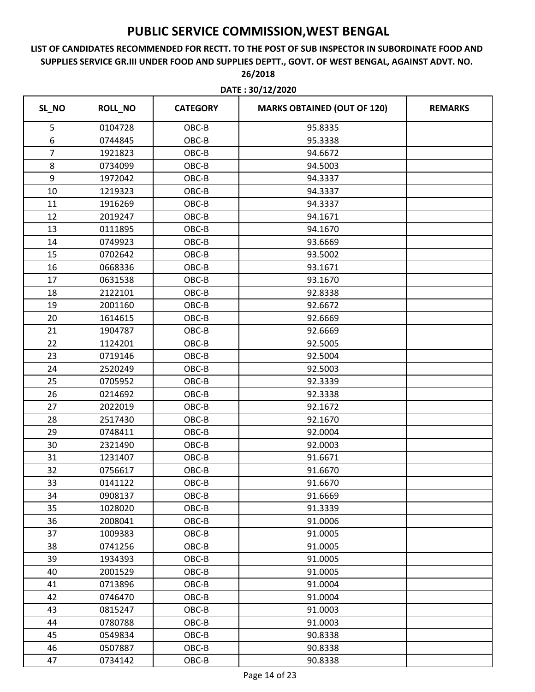|                | DATE: 30/12/2020 |                 |                                    |                |
|----------------|------------------|-----------------|------------------------------------|----------------|
| SL_NO          | <b>ROLL_NO</b>   | <b>CATEGORY</b> | <b>MARKS OBTAINED (OUT OF 120)</b> | <b>REMARKS</b> |
| 5              | 0104728          | OBC-B           | 95.8335                            |                |
| 6              | 0744845          | OBC-B           | 95.3338                            |                |
| $\overline{7}$ | 1921823          | OBC-B           | 94.6672                            |                |
| $\,8\,$        | 0734099          | OBC-B           | 94.5003                            |                |
| 9              | 1972042          | OBC-B           | 94.3337                            |                |
| 10             | 1219323          | OBC-B           | 94.3337                            |                |
| 11             | 1916269          | OBC-B           | 94.3337                            |                |
| 12             | 2019247          | OBC-B           | 94.1671                            |                |
| 13             | 0111895          | OBC-B           | 94.1670                            |                |
| 14             | 0749923          | OBC-B           | 93.6669                            |                |
| 15             | 0702642          | OBC-B           | 93.5002                            |                |
| 16             | 0668336          | OBC-B           | 93.1671                            |                |
| 17             | 0631538          | OBC-B           | 93.1670                            |                |
| 18             | 2122101          | OBC-B           | 92.8338                            |                |
| 19             | 2001160          | OBC-B           | 92.6672                            |                |
| 20             | 1614615          | OBC-B           | 92.6669                            |                |
| 21             | 1904787          | OBC-B           | 92.6669                            |                |
| 22             | 1124201          | OBC-B           | 92.5005                            |                |
| 23             | 0719146          | OBC-B           | 92.5004                            |                |
| 24             | 2520249          | OBC-B           | 92.5003                            |                |
| 25             | 0705952          | OBC-B           | 92.3339                            |                |
| 26             | 0214692          | OBC-B           | 92.3338                            |                |
| 27             | 2022019          | OBC-B           | 92.1672                            |                |
| 28             | 2517430          | OBC-B           | 92.1670                            |                |
| 29             | 0748411          | OBC-B           | 92.0004                            |                |
| 30             | 2321490          | OBC-B           | 92.0003                            |                |
| 31             | 1231407          | OBC-B           | 91.6671                            |                |
| 32             | 0756617          | OBC-B           | 91.6670                            |                |
| 33             | 0141122          | OBC-B           | 91.6670                            |                |
| 34             | 0908137          | OBC-B           | 91.6669                            |                |
| 35             | 1028020          | OBC-B           | 91.3339                            |                |
| 36             | 2008041          | OBC-B           | 91.0006                            |                |
| 37             | 1009383          | OBC-B           | 91.0005                            |                |
| 38             | 0741256          | OBC-B           | 91.0005                            |                |
| 39             | 1934393          | OBC-B           | 91.0005                            |                |
| 40             | 2001529          | OBC-B           | 91.0005                            |                |
| 41             | 0713896          | OBC-B           | 91.0004                            |                |
| 42             | 0746470          | OBC-B           | 91.0004                            |                |
| 43             | 0815247          | OBC-B           | 91.0003                            |                |
| 44             | 0780788          | OBC-B           | 91.0003                            |                |
| 45             | 0549834          | OBC-B           | 90.8338                            |                |
| 46             | 0507887          | $OBC-B$         | 90.8338                            |                |
| 47             | 0734142          | OBC-B           | 90.8338                            |                |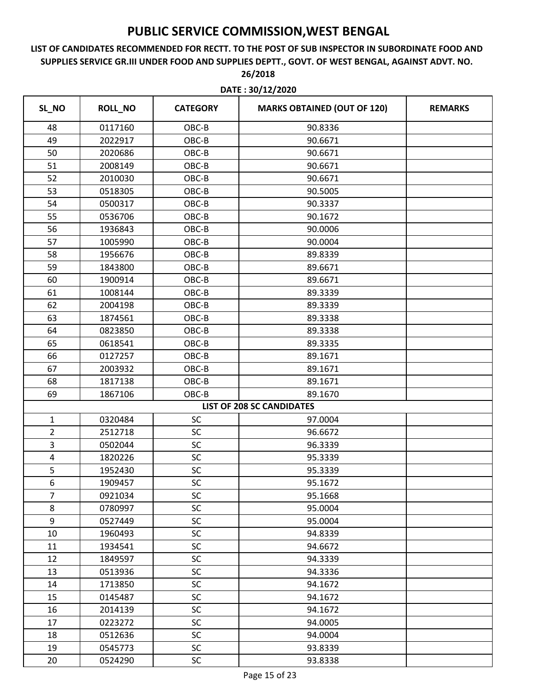|                | DATE: 30/12/2020 |                 |                                    |                |  |
|----------------|------------------|-----------------|------------------------------------|----------------|--|
| SL_NO          | <b>ROLL_NO</b>   | <b>CATEGORY</b> | <b>MARKS OBTAINED (OUT OF 120)</b> | <b>REMARKS</b> |  |
| 48             | 0117160          | OBC-B           | 90.8336                            |                |  |
| 49             | 2022917          | OBC-B           | 90.6671                            |                |  |
| 50             | 2020686          | OBC-B           | 90.6671                            |                |  |
| 51             | 2008149          | OBC-B           | 90.6671                            |                |  |
| 52             | 2010030          | OBC-B           | 90.6671                            |                |  |
| 53             | 0518305          | OBC-B           | 90.5005                            |                |  |
| 54             | 0500317          | OBC-B           | 90.3337                            |                |  |
| 55             | 0536706          | OBC-B           | 90.1672                            |                |  |
| 56             | 1936843          | OBC-B           | 90.0006                            |                |  |
| 57             | 1005990          | OBC-B           | 90.0004                            |                |  |
| 58             | 1956676          | OBC-B           | 89.8339                            |                |  |
| 59             | 1843800          | OBC-B           | 89.6671                            |                |  |
| 60             | 1900914          | OBC-B           | 89.6671                            |                |  |
| 61             | 1008144          | OBC-B           | 89.3339                            |                |  |
| 62             | 2004198          | OBC-B           | 89.3339                            |                |  |
| 63             | 1874561          | OBC-B           | 89.3338                            |                |  |
| 64             | 0823850          | OBC-B           | 89.3338                            |                |  |
| 65             | 0618541          | OBC-B           | 89.3335                            |                |  |
| 66             | 0127257          | OBC-B           | 89.1671                            |                |  |
| 67             | 2003932          | OBC-B           | 89.1671                            |                |  |
| 68             | 1817138          | OBC-B           | 89.1671                            |                |  |
| 69             | 1867106          | OBC-B           | 89.1670                            |                |  |
|                |                  |                 | <b>LIST OF 208 SC CANDIDATES</b>   |                |  |
| $\mathbf{1}$   | 0320484          | SC              | 97.0004                            |                |  |
| $\overline{2}$ | 2512718          | SC              | 96.6672                            |                |  |
| 3              | 0502044          | SC              | 96.3339                            |                |  |
| 4              | 1820226          | SC              | 95.3339                            |                |  |
| 5              | 1952430          | <b>SC</b>       | 95.3339                            |                |  |
| 6              | 1909457          | SC              | 95.1672                            |                |  |
| $\overline{7}$ | 0921034          | <b>SC</b>       | 95.1668                            |                |  |
| 8              | 0780997          | SC              | 95.0004                            |                |  |
| 9              | 0527449          | <b>SC</b>       | 95.0004                            |                |  |
| 10             | 1960493          | SC              | 94.8339                            |                |  |
| 11             | 1934541          | <b>SC</b>       | 94.6672                            |                |  |
| 12             | 1849597          | <b>SC</b>       | 94.3339                            |                |  |
| 13             | 0513936          | <b>SC</b>       | 94.3336                            |                |  |
| 14             | 1713850          | <b>SC</b>       | 94.1672                            |                |  |
| 15             | 0145487          | SC              | 94.1672                            |                |  |
| 16             | 2014139          | <b>SC</b>       | 94.1672                            |                |  |
| 17             | 0223272          | SC              | 94.0005                            |                |  |
| 18             | 0512636          | <b>SC</b>       | 94.0004                            |                |  |
| 19             | 0545773          | <b>SC</b>       | 93.8339                            |                |  |
| 20             | 0524290          | SC              | 93.8338                            |                |  |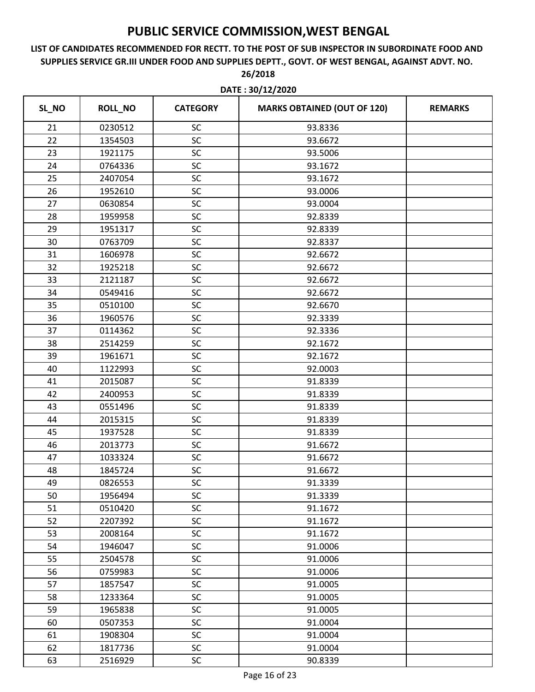# **LIST OF CANDIDATES RECOMMENDED FOR RECTT. TO THE POST OF SUB INSPECTOR IN SUBORDINATE FOOD AND SUPPLIES SERVICE GR.III UNDER FOOD AND SUPPLIES DEPTT., GOVT. OF WEST BENGAL, AGAINST ADVT. NO.**

|       | DATE: 30/12/2020 |                 |                                    |                |  |
|-------|------------------|-----------------|------------------------------------|----------------|--|
| SL_NO | <b>ROLL_NO</b>   | <b>CATEGORY</b> | <b>MARKS OBTAINED (OUT OF 120)</b> | <b>REMARKS</b> |  |
| 21    | 0230512          | SC              | 93.8336                            |                |  |
| 22    | 1354503          | SC              | 93.6672                            |                |  |
| 23    | 1921175          | SC              | 93.5006                            |                |  |
| 24    | 0764336          | SC              | 93.1672                            |                |  |
| 25    | 2407054          | SC              | 93.1672                            |                |  |
| 26    | 1952610          | SC              | 93.0006                            |                |  |
| 27    | 0630854          | SC              | 93.0004                            |                |  |
| 28    | 1959958          | SC              | 92.8339                            |                |  |
| 29    | 1951317          | SC              | 92.8339                            |                |  |
| 30    | 0763709          | SC              | 92.8337                            |                |  |
| 31    | 1606978          | SC              | 92.6672                            |                |  |
| 32    | 1925218          | SC              | 92.6672                            |                |  |
| 33    | 2121187          | SC              | 92.6672                            |                |  |
| 34    | 0549416          | SC              | 92.6672                            |                |  |
| 35    | 0510100          | SC              | 92.6670                            |                |  |
| 36    | 1960576          | SC              | 92.3339                            |                |  |
| 37    | 0114362          | SC              | 92.3336                            |                |  |
| 38    | 2514259          | SC              | 92.1672                            |                |  |
| 39    | 1961671          | SC              | 92.1672                            |                |  |
| 40    | 1122993          | SC              | 92.0003                            |                |  |
| 41    | 2015087          | SC              | 91.8339                            |                |  |
| 42    | 2400953          | SC              | 91.8339                            |                |  |
| 43    | 0551496          | SC              | 91.8339                            |                |  |
| 44    | 2015315          | SC              | 91.8339                            |                |  |
| 45    | 1937528          | SC              | 91.8339                            |                |  |
| 46    | 2013773          | SC              | 91.6672                            |                |  |
| 47    | 1033324          | SC              | 91.6672                            |                |  |
| 48    | 1845724          | <b>SC</b>       | 91.6672                            |                |  |
| 49    | 0826553          | SC              | 91.3339                            |                |  |
| 50    | 1956494          | SC              | 91.3339                            |                |  |
| 51    | 0510420          | SC              | 91.1672                            |                |  |
| 52    | 2207392          | SC              | 91.1672                            |                |  |
| 53    | 2008164          | SC              | 91.1672                            |                |  |
| 54    | 1946047          | SC              | 91.0006                            |                |  |
| 55    | 2504578          | <b>SC</b>       | 91.0006                            |                |  |
| 56    | 0759983          | SC              | 91.0006                            |                |  |
| 57    | 1857547          | <b>SC</b>       | 91.0005                            |                |  |
| 58    | 1233364          | SC              | 91.0005                            |                |  |
| 59    | 1965838          | <b>SC</b>       | 91.0005                            |                |  |
| 60    | 0507353          | SC              | 91.0004                            |                |  |
| 61    | 1908304          | SC              | 91.0004                            |                |  |
| 62    | 1817736          | <b>SC</b>       | 91.0004                            |                |  |
| 63    | 2516929          | <b>SC</b>       | 90.8339                            |                |  |

**26/2018**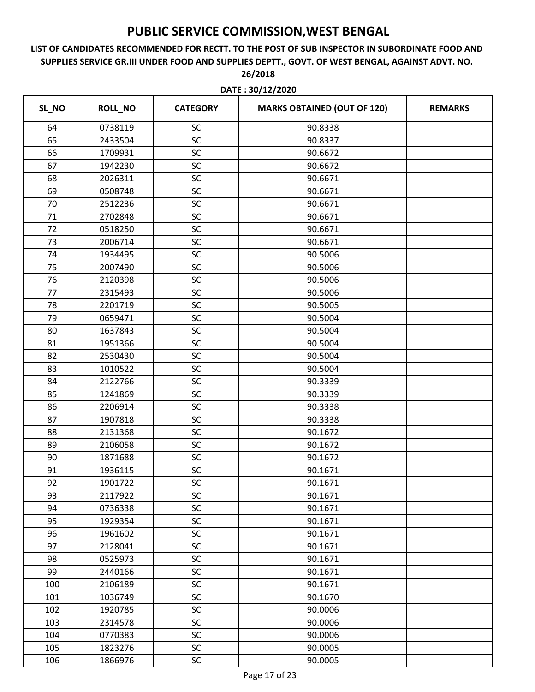### **LIST OF CANDIDATES RECOMMENDED FOR RECTT. TO THE POST OF SUB INSPECTOR IN SUBORDINATE FOOD AND SUPPLIES SERVICE GR.III UNDER FOOD AND SUPPLIES DEPTT., GOVT. OF WEST BENGAL, AGAINST ADVT. NO. 26/2018**

|       | DATE: 30/12/2020 |                 |                                    |                |  |
|-------|------------------|-----------------|------------------------------------|----------------|--|
| SL_NO | <b>ROLL_NO</b>   | <b>CATEGORY</b> | <b>MARKS OBTAINED (OUT OF 120)</b> | <b>REMARKS</b> |  |
| 64    | 0738119          | SC              | 90.8338                            |                |  |
| 65    | 2433504          | SC              | 90.8337                            |                |  |
| 66    | 1709931          | SC              | 90.6672                            |                |  |
| 67    | 1942230          | SC              | 90.6672                            |                |  |
| 68    | 2026311          | SC              | 90.6671                            |                |  |
| 69    | 0508748          | SC              | 90.6671                            |                |  |
| 70    | 2512236          | SC              | 90.6671                            |                |  |
| 71    | 2702848          | SC              | 90.6671                            |                |  |
| 72    | 0518250          | SC              | 90.6671                            |                |  |
| 73    | 2006714          | SC              | 90.6671                            |                |  |
| 74    | 1934495          | SC              | 90.5006                            |                |  |
| 75    | 2007490          | SC              | 90.5006                            |                |  |
| 76    | 2120398          | SC              | 90.5006                            |                |  |
| 77    | 2315493          | SC              | 90.5006                            |                |  |
| 78    | 2201719          | SC              | 90.5005                            |                |  |
| 79    | 0659471          | SC              | 90.5004                            |                |  |
| 80    | 1637843          | SC              | 90.5004                            |                |  |
| 81    | 1951366          | SC              | 90.5004                            |                |  |
| 82    | 2530430          | SC              | 90.5004                            |                |  |
| 83    | 1010522          | SC              | 90.5004                            |                |  |
| 84    | 2122766          | SC              | 90.3339                            |                |  |
| 85    | 1241869          | SC              | 90.3339                            |                |  |
| 86    | 2206914          | SC              | 90.3338                            |                |  |
| 87    | 1907818          | SC              | 90.3338                            |                |  |
| 88    | 2131368          | SC              | 90.1672                            |                |  |
| 89    | 2106058          | SC              | 90.1672                            |                |  |
| 90    | 1871688          | SC              | 90.1672                            |                |  |
| 91    | 1936115          | SC              | 90.1671                            |                |  |
| 92    | 1901722          | SC              | 90.1671                            |                |  |
| 93    | 2117922          | <b>SC</b>       | 90.1671                            |                |  |
| 94    | 0736338          | SC              | 90.1671                            |                |  |
| 95    | 1929354          | <b>SC</b>       | 90.1671                            |                |  |
| 96    | 1961602          | SC              | 90.1671                            |                |  |
| 97    | 2128041          | <b>SC</b>       | 90.1671                            |                |  |
| 98    | 0525973          | <b>SC</b>       | 90.1671                            |                |  |
| 99    | 2440166          | <b>SC</b>       | 90.1671                            |                |  |
| 100   | 2106189          | SC              | 90.1671                            |                |  |
| 101   | 1036749          | SC              | 90.1670                            |                |  |
| 102   | 1920785          | <b>SC</b>       | 90.0006                            |                |  |
| 103   | 2314578          | <b>SC</b>       | 90.0006                            |                |  |
| 104   | 0770383          | SC              | 90.0006                            |                |  |
| 105   | 1823276          | <b>SC</b>       | 90.0005                            |                |  |
| 106   | 1866976          | SC              | 90.0005                            |                |  |

Page 17 of 23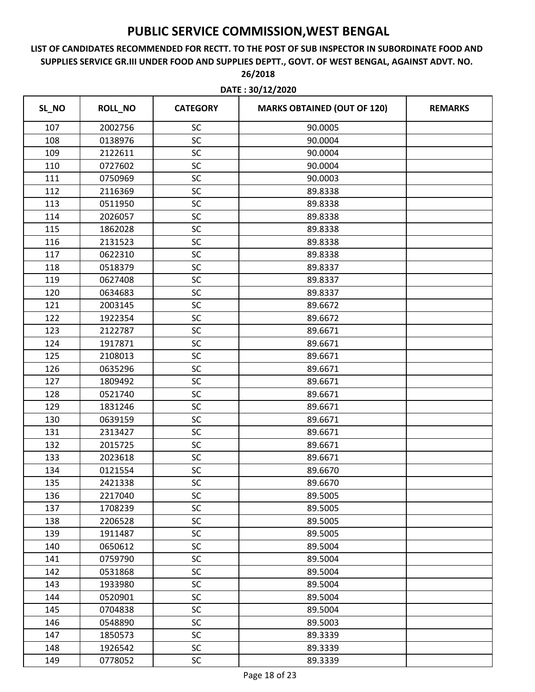### **LIST OF CANDIDATES RECOMMENDED FOR RECTT. TO THE POST OF SUB INSPECTOR IN SUBORDINATE FOOD AND SUPPLIES SERVICE GR.III UNDER FOOD AND SUPPLIES DEPTT., GOVT. OF WEST BENGAL, AGAINST ADVT. NO. 26/2018**

| SL_NO | <b>ROLL_NO</b> | <b>CATEGORY</b> | <b>MARKS OBTAINED (OUT OF 120)</b> | <b>REMARKS</b> |
|-------|----------------|-----------------|------------------------------------|----------------|
| 107   | 2002756        | SC              | 90.0005                            |                |
| 108   | 0138976        | SC              | 90.0004                            |                |
| 109   | 2122611        | SC              | 90.0004                            |                |
| 110   | 0727602        | SC              | 90.0004                            |                |
| 111   | 0750969        | SC              | 90.0003                            |                |
| 112   | 2116369        | SC              | 89.8338                            |                |
| 113   | 0511950        | SC              | 89.8338                            |                |
| 114   | 2026057        | SC              | 89.8338                            |                |
| 115   | 1862028        | SC              | 89.8338                            |                |
| 116   | 2131523        | SC              | 89.8338                            |                |
| 117   | 0622310        | SC              | 89.8338                            |                |
| 118   | 0518379        | SC              | 89.8337                            |                |
| 119   | 0627408        | SC              | 89.8337                            |                |
| 120   | 0634683        | SC              | 89.8337                            |                |
| 121   | 2003145        | SC              | 89.6672                            |                |
| 122   | 1922354        | SC              | 89.6672                            |                |
| 123   | 2122787        | SC              | 89.6671                            |                |
| 124   | 1917871        | SC              | 89.6671                            |                |
| 125   | 2108013        | SC              | 89.6671                            |                |
| 126   | 0635296        | SC              | 89.6671                            |                |
| 127   | 1809492        | SC              | 89.6671                            |                |
| 128   | 0521740        | SC              | 89.6671                            |                |
| 129   | 1831246        | SC              | 89.6671                            |                |
| 130   | 0639159        | SC              | 89.6671                            |                |
| 131   | 2313427        | SC              | 89.6671                            |                |
| 132   | 2015725        | SC              | 89.6671                            |                |
| 133   | 2023618        | SC              | 89.6671                            |                |
| 134   | 0121554        | SC              | 89.6670                            |                |
| 135   | 2421338        | SC              | 89.6670                            |                |
| 136   | 2217040        | SC              | 89.5005                            |                |
| 137   | 1708239        | SC              | 89.5005                            |                |
| 138   | 2206528        | SC              | 89.5005                            |                |
| 139   | 1911487        | SC              | 89.5005                            |                |
| 140   | 0650612        | SC              | 89.5004                            |                |
| 141   | 0759790        | SC              | 89.5004                            |                |
| 142   | 0531868        | SC              | 89.5004                            |                |
| 143   | 1933980        | SC              | 89.5004                            |                |
| 144   | 0520901        | SC              | 89.5004                            |                |
| 145   | 0704838        | SC              | 89.5004                            |                |
| 146   | 0548890        | SC              | 89.5003                            |                |
| 147   | 1850573        | SC              | 89.3339                            |                |
| 148   | 1926542        | SC              | 89.3339                            |                |
| 149   | 0778052        | SC              | 89.3339                            |                |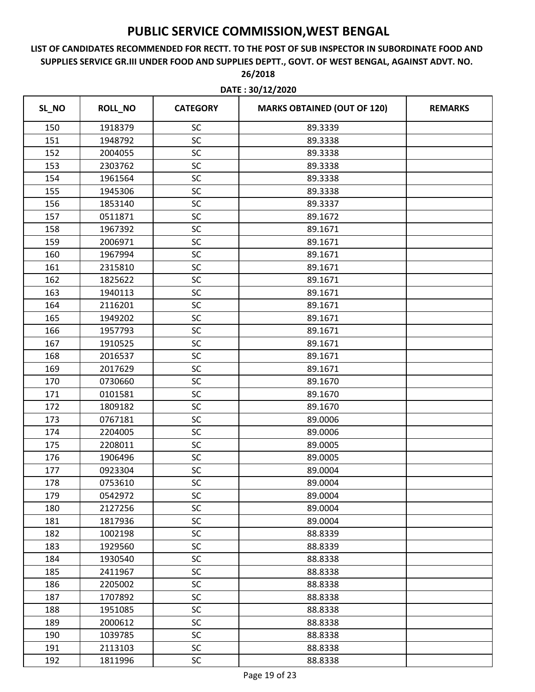### **LIST OF CANDIDATES RECOMMENDED FOR RECTT. TO THE POST OF SUB INSPECTOR IN SUBORDINATE FOOD AND SUPPLIES SERVICE GR.III UNDER FOOD AND SUPPLIES DEPTT., GOVT. OF WEST BENGAL, AGAINST ADVT. NO. 26/2018**

| SL_NO | <b>ROLL_NO</b> | <b>CATEGORY</b> | <b>MARKS OBTAINED (OUT OF 120)</b> | <b>REMARKS</b> |
|-------|----------------|-----------------|------------------------------------|----------------|
| 150   | 1918379        | SC              | 89.3339                            |                |
| 151   | 1948792        | SC              | 89.3338                            |                |
| 152   | 2004055        | SC              | 89.3338                            |                |
| 153   | 2303762        | SC              | 89.3338                            |                |
| 154   | 1961564        | SC              | 89.3338                            |                |
| 155   | 1945306        | SC              | 89.3338                            |                |
| 156   | 1853140        | SC              | 89.3337                            |                |
| 157   | 0511871        | SC              | 89.1672                            |                |
| 158   | 1967392        | SC              | 89.1671                            |                |
| 159   | 2006971        | SC              | 89.1671                            |                |
| 160   | 1967994        | SC              | 89.1671                            |                |
| 161   | 2315810        | SC              | 89.1671                            |                |
| 162   | 1825622        | SC              | 89.1671                            |                |
| 163   | 1940113        | SC              | 89.1671                            |                |
| 164   | 2116201        | SC              | 89.1671                            |                |
| 165   | 1949202        | SC              | 89.1671                            |                |
| 166   | 1957793        | SC              | 89.1671                            |                |
| 167   | 1910525        | SC              | 89.1671                            |                |
| 168   | 2016537        | SC              | 89.1671                            |                |
| 169   | 2017629        | SC              | 89.1671                            |                |
| 170   | 0730660        | SC              | 89.1670                            |                |
| 171   | 0101581        | SC              | 89.1670                            |                |
| 172   | 1809182        | SC              | 89.1670                            |                |
| 173   | 0767181        | SC              | 89.0006                            |                |
| 174   | 2204005        | SC              | 89.0006                            |                |
| 175   | 2208011        | SC              | 89.0005                            |                |
| 176   | 1906496        | SC              | 89.0005                            |                |
| 177   | 0923304        | SC              | 89.0004                            |                |
| 178   | 0753610        | SC              | 89.0004                            |                |
| 179   | 0542972        | <b>SC</b>       | 89.0004                            |                |
| 180   | 2127256        | SC              | 89.0004                            |                |
| 181   | 1817936        | SC              | 89.0004                            |                |
| 182   | 1002198        | SC              | 88.8339                            |                |
| 183   | 1929560        | SC              | 88.8339                            |                |
| 184   | 1930540        | SC              | 88.8338                            |                |
| 185   | 2411967        | SC              | 88.8338                            |                |
| 186   | 2205002        | SC              | 88.8338                            |                |
| 187   | 1707892        | SC              | 88.8338                            |                |
| 188   | 1951085        | SC              | 88.8338                            |                |
| 189   | 2000612        | SC              | 88.8338                            |                |
| 190   | 1039785        | SC              | 88.8338                            |                |
| 191   | 2113103        | SC              | 88.8338                            |                |
| 192   | 1811996        | <b>SC</b>       | 88.8338                            |                |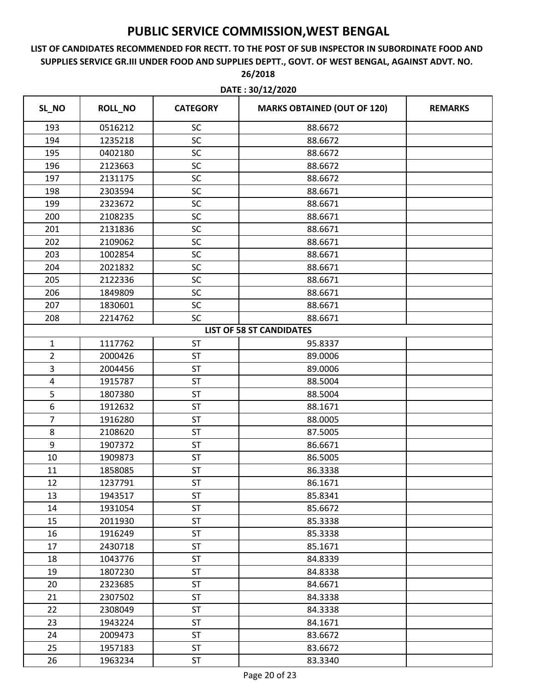# **LIST OF CANDIDATES RECOMMENDED FOR RECTT. TO THE POST OF SUB INSPECTOR IN SUBORDINATE FOOD AND SUPPLIES SERVICE GR.III UNDER FOOD AND SUPPLIES DEPTT., GOVT. OF WEST BENGAL, AGAINST ADVT. NO.**

| DATE: 30/12/2020 |                |                 |                                    |                |
|------------------|----------------|-----------------|------------------------------------|----------------|
| SL_NO            | <b>ROLL_NO</b> | <b>CATEGORY</b> | <b>MARKS OBTAINED (OUT OF 120)</b> | <b>REMARKS</b> |
| 193              | 0516212        | SC              | 88.6672                            |                |
| 194              | 1235218        | SC              | 88.6672                            |                |
| 195              | 0402180        | SC              | 88.6672                            |                |
| 196              | 2123663        | SC              | 88.6672                            |                |
| 197              | 2131175        | SC              | 88.6672                            |                |
| 198              | 2303594        | SC              | 88.6671                            |                |
| 199              | 2323672        | SC              | 88.6671                            |                |
| 200              | 2108235        | SC              | 88.6671                            |                |
| 201              | 2131836        | SC              | 88.6671                            |                |
| 202              | 2109062        | SC              | 88.6671                            |                |
| 203              | 1002854        | SC              | 88.6671                            |                |
| 204              | 2021832        | SC              | 88.6671                            |                |
| 205              | 2122336        | SC              | 88.6671                            |                |
| 206              | 1849809        | SC              | 88.6671                            |                |
| 207              | 1830601        | SC              | 88.6671                            |                |
| 208              | 2214762        | SC              | 88.6671                            |                |
|                  |                |                 | <b>LIST OF 58 ST CANDIDATES</b>    |                |
| $\mathbf{1}$     | 1117762        | <b>ST</b>       | 95.8337                            |                |
| $\overline{2}$   | 2000426        | <b>ST</b>       | 89.0006                            |                |
| 3                | 2004456        | <b>ST</b>       | 89.0006                            |                |
| $\pmb{4}$        | 1915787        | <b>ST</b>       | 88.5004                            |                |
| 5                | 1807380        | <b>ST</b>       | 88.5004                            |                |
| 6                | 1912632        | ST              | 88.1671                            |                |
| $\overline{7}$   | 1916280        | <b>ST</b>       | 88.0005                            |                |
| 8                | 2108620        | ST              | 87.5005                            |                |
| 9                | 1907372        | <b>ST</b>       | 86.6671                            |                |
| 10               | 1909873        | ST              | 86.5005                            |                |
| 11               | 1858085        | <b>ST</b>       | 86.3338                            |                |
| 12               | 1237791        | ST              | 86.1671                            |                |
| 13               | 1943517        | ST              | 85.8341                            |                |
| 14               | 1931054        | <b>ST</b>       | 85.6672                            |                |
| 15               | 2011930        | <b>ST</b>       | 85.3338                            |                |
| 16               | 1916249        | <b>ST</b>       | 85.3338                            |                |
| 17               | 2430718        | ST              | 85.1671                            |                |
| 18               | 1043776        | <b>ST</b>       | 84.8339                            |                |
| 19               | 1807230        | <b>ST</b>       | 84.8338                            |                |
| 20               | 2323685        | <b>ST</b>       | 84.6671                            |                |
| 21               | 2307502        | ST              | 84.3338                            |                |
| 22               | 2308049        | <b>ST</b>       | 84.3338                            |                |
| 23               | 1943224        | <b>ST</b>       | 84.1671                            |                |
| 24               | 2009473        | ST              | 83.6672                            |                |
| 25               | 1957183        | <b>ST</b>       | 83.6672                            |                |
| 26               | 1963234        | ST              | 83.3340                            |                |

**26/2018**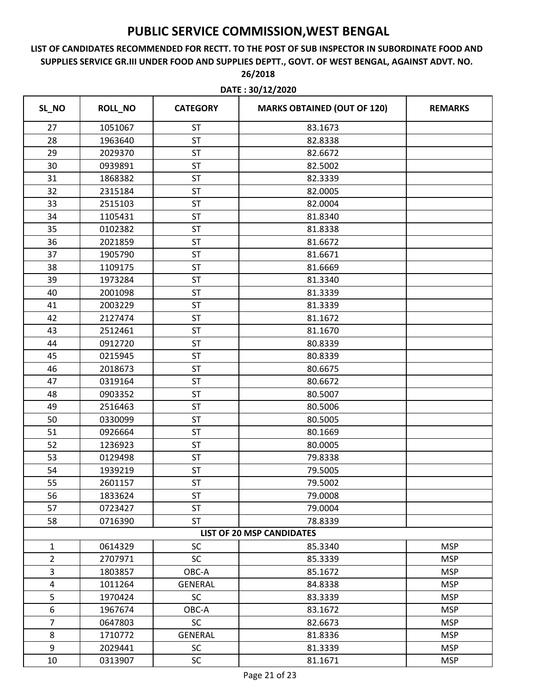|                | DATE: 30/12/2020 |                 |                                    |                |
|----------------|------------------|-----------------|------------------------------------|----------------|
| SL_NO          | <b>ROLL_NO</b>   | <b>CATEGORY</b> | <b>MARKS OBTAINED (OUT OF 120)</b> | <b>REMARKS</b> |
| 27             | 1051067          | <b>ST</b>       | 83.1673                            |                |
| 28             | 1963640          | <b>ST</b>       | 82.8338                            |                |
| 29             | 2029370          | ST              | 82.6672                            |                |
| 30             | 0939891          | <b>ST</b>       | 82.5002                            |                |
| 31             | 1868382          | ST              | 82.3339                            |                |
| 32             | 2315184          | ST              | 82.0005                            |                |
| 33             | 2515103          | ST              | 82.0004                            |                |
| 34             | 1105431          | ST              | 81.8340                            |                |
| 35             | 0102382          | <b>ST</b>       | 81.8338                            |                |
| 36             | 2021859          | ST              | 81.6672                            |                |
| 37             | 1905790          | <b>ST</b>       | 81.6671                            |                |
| 38             | 1109175          | <b>ST</b>       | 81.6669                            |                |
| 39             | 1973284          | ST              | 81.3340                            |                |
| 40             | 2001098          | <b>ST</b>       | 81.3339                            |                |
| 41             | 2003229          | ST              | 81.3339                            |                |
| 42             | 2127474          | <b>ST</b>       | 81.1672                            |                |
| 43             | 2512461          | <b>ST</b>       | 81.1670                            |                |
| 44             | 0912720          | ST              | 80.8339                            |                |
| 45             | 0215945          | ST              | 80.8339                            |                |
| 46             | 2018673          | ST              | 80.6675                            |                |
| 47             | 0319164          | <b>ST</b>       | 80.6672                            |                |
| 48             | 0903352          | ST              | 80.5007                            |                |
| 49             | 2516463          | ST              | 80.5006                            |                |
| 50             | 0330099          | ST              | 80.5005                            |                |
| 51             | 0926664          | ST              | 80.1669                            |                |
| 52             | 1236923          | ST              | 80.0005                            |                |
| 53             | 0129498          | ST              | 79.8338                            |                |
| 54             | 1939219          | <b>ST</b>       | 79.5005                            |                |
| 55             | 2601157          | <b>ST</b>       | 79.5002                            |                |
| 56             | 1833624          | <b>ST</b>       | 79.0008                            |                |
| 57             | 0723427          | <b>ST</b>       | 79.0004                            |                |
| 58             | 0716390          | <b>ST</b>       | 78.8339                            |                |
|                |                  |                 | <b>LIST OF 20 MSP CANDIDATES</b>   |                |
| $\mathbf{1}$   | 0614329          | <b>SC</b>       | 85.3340                            | <b>MSP</b>     |
| $\overline{2}$ | 2707971          | <b>SC</b>       | 85.3339                            | <b>MSP</b>     |
| 3              | 1803857          | OBC-A           | 85.1672                            | <b>MSP</b>     |
| $\overline{4}$ | 1011264          | <b>GENERAL</b>  | 84.8338                            | <b>MSP</b>     |
| 5              | 1970424          | <b>SC</b>       | 83.3339                            | <b>MSP</b>     |
| 6              | 1967674          | OBC-A           | 83.1672                            | <b>MSP</b>     |
| $\overline{7}$ | 0647803          | <b>SC</b>       | 82.6673                            | <b>MSP</b>     |
| 8              | 1710772          | <b>GENERAL</b>  | 81.8336                            | <b>MSP</b>     |
| 9              | 2029441          | <b>SC</b>       | 81.3339                            | <b>MSP</b>     |
| 10             | 0313907          | SC              | 81.1671                            | <b>MSP</b>     |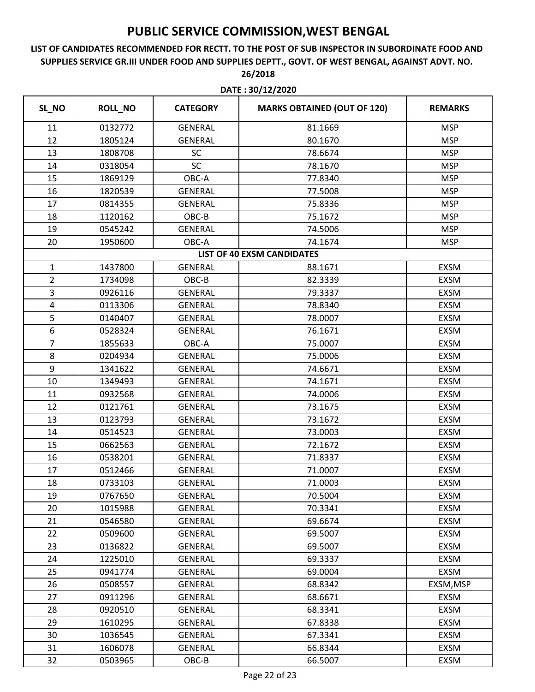### **LIST OF CANDIDATES RECOMMENDED FOR RECTT. TO THE POST OF SUB INSPECTOR IN SUBORDINATE FOOD AND SUPPLIES SERVICE GR.III UNDER FOOD AND SUPPLIES DEPTT., GOVT. OF WEST BENGAL, AGAINST ADVT. NO. 26/2018**

| SL_NO          | <b>ROLL_NO</b> | <b>CATEGORY</b> | <b>MARKS OBTAINED (OUT OF 120)</b> | <b>REMARKS</b> |
|----------------|----------------|-----------------|------------------------------------|----------------|
| 11             | 0132772        | <b>GENERAL</b>  | 81.1669                            | <b>MSP</b>     |
| 12             | 1805124        | <b>GENERAL</b>  | 80.1670                            | <b>MSP</b>     |
| 13             | 1808708        | SC              | 78.6674                            | <b>MSP</b>     |
| 14             | 0318054        | SC              | 78.1670                            | <b>MSP</b>     |
| 15             | 1869129        | OBC-A           | 77.8340                            | <b>MSP</b>     |
| 16             | 1820539        | <b>GENERAL</b>  | 77.5008                            | <b>MSP</b>     |
| 17             | 0814355        | <b>GENERAL</b>  | 75.8336                            | <b>MSP</b>     |
| 18             | 1120162        | OBC-B           | 75.1672                            | <b>MSP</b>     |
| 19             | 0545242        | <b>GENERAL</b>  | 74.5006                            | <b>MSP</b>     |
| 20             | 1950600        | OBC-A           | 74.1674                            | <b>MSP</b>     |
|                |                |                 | <b>LIST OF 40 EXSM CANDIDATES</b>  |                |
| $\mathbf{1}$   | 1437800        | <b>GENERAL</b>  | 88.1671                            | <b>EXSM</b>    |
| $\overline{2}$ | 1734098        | OBC-B           | 82.3339                            | <b>EXSM</b>    |
| 3              | 0926116        | <b>GENERAL</b>  | 79.3337                            | <b>EXSM</b>    |
| 4              | 0113306        | <b>GENERAL</b>  | 78.8340                            | <b>EXSM</b>    |
| 5              | 0140407        | <b>GENERAL</b>  | 78.0007                            | <b>EXSM</b>    |
| 6              | 0528324        | <b>GENERAL</b>  | 76.1671                            | <b>EXSM</b>    |
| $\overline{7}$ | 1855633        | OBC-A           | 75.0007                            | <b>EXSM</b>    |
| 8              | 0204934        | <b>GENERAL</b>  | 75.0006                            | <b>EXSM</b>    |
| 9              | 1341622        | <b>GENERAL</b>  | 74.6671                            | <b>EXSM</b>    |
| 10             | 1349493        | <b>GENERAL</b>  | 74.1671                            | <b>EXSM</b>    |
| 11             | 0932568        | <b>GENERAL</b>  | 74.0006                            | <b>EXSM</b>    |
| 12             | 0121761        | <b>GENERAL</b>  | 73.1675                            | <b>EXSM</b>    |
| 13             | 0123793        | <b>GENERAL</b>  | 73.1672                            | <b>EXSM</b>    |
| 14             | 0514523        | <b>GENERAL</b>  | 73.0003                            | <b>EXSM</b>    |
| 15             | 0662563        | <b>GENERAL</b>  | 72.1672                            | <b>EXSM</b>    |
| 16             | 0538201        | <b>GENERAL</b>  | 71.8337                            | <b>EXSM</b>    |
| 17             | 0512466        | <b>GENERAL</b>  | 71.0007                            | <b>EXSM</b>    |
| 18             | 0733103        | <b>GENERAL</b>  | 71.0003                            | <b>EXSM</b>    |
| 19             | 0767650        | <b>GENERAL</b>  | 70.5004                            | <b>EXSM</b>    |
| 20             | 1015988        | <b>GENERAL</b>  | 70.3341                            | <b>EXSM</b>    |
| 21             | 0546580        | <b>GENERAL</b>  | 69.6674                            | <b>EXSM</b>    |
| 22             | 0509600        | <b>GENERAL</b>  | 69.5007                            | <b>EXSM</b>    |
| 23             | 0136822        | <b>GENERAL</b>  | 69.5007                            | <b>EXSM</b>    |
| 24             | 1225010        | <b>GENERAL</b>  | 69.3337                            | <b>EXSM</b>    |
| 25             | 0941774        | <b>GENERAL</b>  | 69.0004                            | <b>EXSM</b>    |
| 26             | 0508557        | <b>GENERAL</b>  | 68.8342                            | EXSM, MSP      |
| 27             | 0911296        | <b>GENERAL</b>  | 68.6671                            | <b>EXSM</b>    |
| 28             | 0920510        | <b>GENERAL</b>  | 68.3341                            | <b>EXSM</b>    |
| 29             | 1610295        | <b>GENERAL</b>  | 67.8338                            | <b>EXSM</b>    |
| 30             | 1036545        | <b>GENERAL</b>  | 67.3341                            | <b>EXSM</b>    |
| 31             | 1606078        | <b>GENERAL</b>  | 66.8344                            | <b>EXSM</b>    |
| 32             | 0503965        | OBC-B           | 66.5007                            | <b>EXSM</b>    |